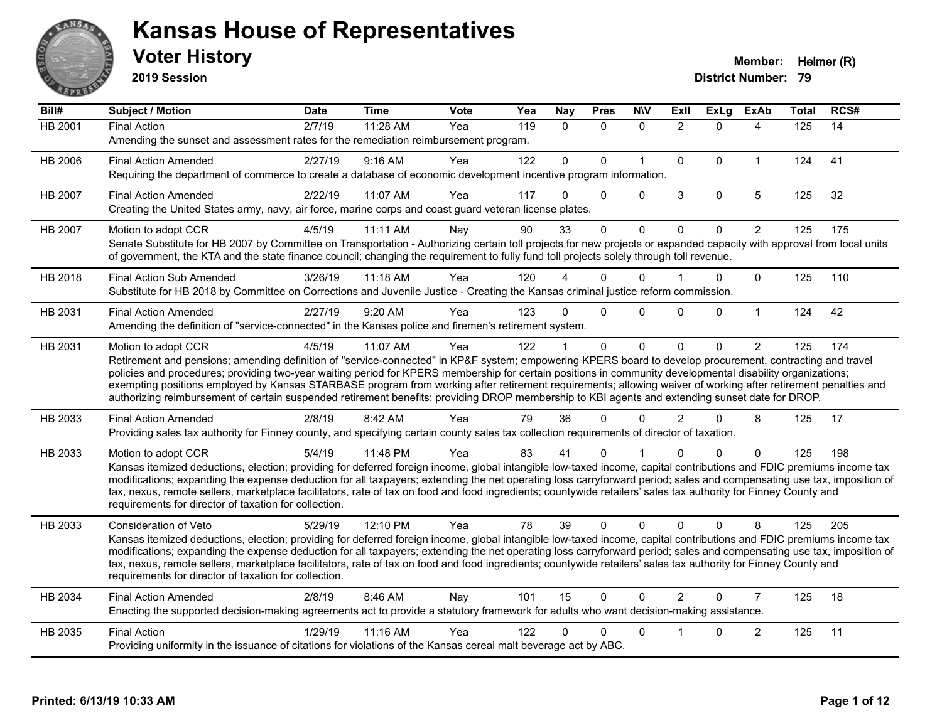

**2019 Session**

| Bill#          | Subject / Motion                                                                                                                                                                                                                                                                                                                                                                                                                                                                                                                                                                                                                                                   | <b>Date</b> | <b>Time</b> | <b>Vote</b> | Yea | <b>Nay</b>   | <b>Pres</b> | <b>NIV</b>   | Exll           | <b>ExLg</b> | <b>ExAb</b>    | <b>Total</b> | RCS# |
|----------------|--------------------------------------------------------------------------------------------------------------------------------------------------------------------------------------------------------------------------------------------------------------------------------------------------------------------------------------------------------------------------------------------------------------------------------------------------------------------------------------------------------------------------------------------------------------------------------------------------------------------------------------------------------------------|-------------|-------------|-------------|-----|--------------|-------------|--------------|----------------|-------------|----------------|--------------|------|
| <b>HB 2001</b> | <b>Final Action</b><br>Amending the sunset and assessment rates for the remediation reimbursement program.                                                                                                                                                                                                                                                                                                                                                                                                                                                                                                                                                         | 2/7/19      | 11:28 AM    | Yea         | 119 | $\mathbf{0}$ | $\Omega$    | $\mathbf{0}$ | $\overline{2}$ | $\Omega$    | 4              | 125          | 14   |
| HB 2006        | <b>Final Action Amended</b><br>Requiring the department of commerce to create a database of economic development incentive program information.                                                                                                                                                                                                                                                                                                                                                                                                                                                                                                                    | 2/27/19     | 9:16 AM     | Yea         | 122 | $\mathbf 0$  | $\Omega$    | $\mathbf{1}$ | $\mathbf{0}$   | $\Omega$    | $\mathbf{1}$   | 124          | 41   |
| HB 2007        | <b>Final Action Amended</b><br>Creating the United States army, navy, air force, marine corps and coast guard veteran license plates.                                                                                                                                                                                                                                                                                                                                                                                                                                                                                                                              | 2/22/19     | 11:07 AM    | Yea         | 117 | 0            | $\Omega$    | $\mathbf 0$  | $\mathbf{3}$   | 0           | 5              | 125          | 32   |
| HB 2007        | Motion to adopt CCR<br>Senate Substitute for HB 2007 by Committee on Transportation - Authorizing certain toll projects for new projects or expanded capacity with approval from local units<br>of government, the KTA and the state finance council; changing the requirement to fully fund toll projects solely through toll revenue.                                                                                                                                                                                                                                                                                                                            | 4/5/19      | 11:11 AM    | Nav         | 90  | 33           | $\Omega$    | $\Omega$     | $\mathbf{0}$   | $\Omega$    | $\overline{2}$ | 125          | 175  |
| HB 2018        | <b>Final Action Sub Amended</b><br>Substitute for HB 2018 by Committee on Corrections and Juvenile Justice - Creating the Kansas criminal justice reform commission.                                                                                                                                                                                                                                                                                                                                                                                                                                                                                               | 3/26/19     | 11:18 AM    | Yea         | 120 |              | 0           | $\Omega$     |                | 0           | $\mathbf{0}$   | 125          | 110  |
| HB 2031        | <b>Final Action Amended</b><br>Amending the definition of "service-connected" in the Kansas police and firemen's retirement system.                                                                                                                                                                                                                                                                                                                                                                                                                                                                                                                                | 2/27/19     | 9:20 AM     | Yea         | 123 | 0            | $\Omega$    | $\Omega$     | 0              | $\Omega$    | $\mathbf{1}$   | 124          | 42   |
| HB 2031        | Motion to adopt CCR<br>Retirement and pensions; amending definition of "service-connected" in KP&F system; empowering KPERS board to develop procurement, contracting and travel<br>policies and procedures; providing two-year waiting period for KPERS membership for certain positions in community developmental disability organizations;<br>exempting positions employed by Kansas STARBASE program from working after retirement requirements; allowing waiver of working after retirement penalties and<br>authorizing reimbursement of certain suspended retirement benefits; providing DROP membership to KBI agents and extending sunset date for DROP. | 4/5/19      | 11:07 AM    | Yea         | 122 |              | $\mathbf 0$ | $\mathbf 0$  | $\Omega$       | $\Omega$    | $\overline{2}$ | 125          | 174  |
| HB 2033        | <b>Final Action Amended</b><br>Providing sales tax authority for Finney county, and specifying certain county sales tax collection requirements of director of taxation.                                                                                                                                                                                                                                                                                                                                                                                                                                                                                           | 2/8/19      | 8:42 AM     | Yea         | 79  | 36           | 0           | $\Omega$     | $\overline{2}$ | $\Omega$    | 8              | 125          | 17   |
| HB 2033        | Motion to adopt CCR<br>Kansas itemized deductions, election; providing for deferred foreign income, global intangible low-taxed income, capital contributions and FDIC premiums income tax<br>modifications; expanding the expense deduction for all taxpayers; extending the net operating loss carryforward period; sales and compensating use tax, imposition of<br>tax, nexus, remote sellers, marketplace facilitators, rate of tax on food and food ingredients; countywide retailers' sales tax authority for Finney County and<br>requirements for director of taxation for collection.                                                                    | 5/4/19      | 11:48 PM    | Yea         | 83  | 41           | 0           |              |                | 0           | $\Omega$       | 125          | 198  |
| HB 2033        | Consideration of Veto<br>Kansas itemized deductions, election; providing for deferred foreign income, global intangible low-taxed income, capital contributions and FDIC premiums income tax<br>modifications; expanding the expense deduction for all taxpayers; extending the net operating loss carryforward period; sales and compensating use tax, imposition of<br>tax, nexus, remote sellers, marketplace facilitators, rate of tax on food and food ingredients; countywide retailers' sales tax authority for Finney County and<br>requirements for director of taxation for collection.                                                                  | 5/29/19     | 12:10 PM    | Yea         | 78  | 39           | $\Omega$    | $\mathbf{0}$ | $\Omega$       | $\Omega$    | 8              | 125          | 205  |
| HB 2034        | <b>Final Action Amended</b><br>Enacting the supported decision-making agreements act to provide a statutory framework for adults who want decision-making assistance.                                                                                                                                                                                                                                                                                                                                                                                                                                                                                              | 2/8/19      | 8:46 AM     | Nay         | 101 | 15           | $\mathbf 0$ | $\Omega$     | $\overline{2}$ | $\Omega$    | $\overline{7}$ | 125          | 18   |
| HB 2035        | <b>Final Action</b><br>Providing uniformity in the issuance of citations for violations of the Kansas cereal malt beverage act by ABC.                                                                                                                                                                                                                                                                                                                                                                                                                                                                                                                             | 1/29/19     | 11:16 AM    | Yea         | 122 | 0            | 0           | $\mathbf 0$  |                | $\Omega$    | $\overline{c}$ | 125          | 11   |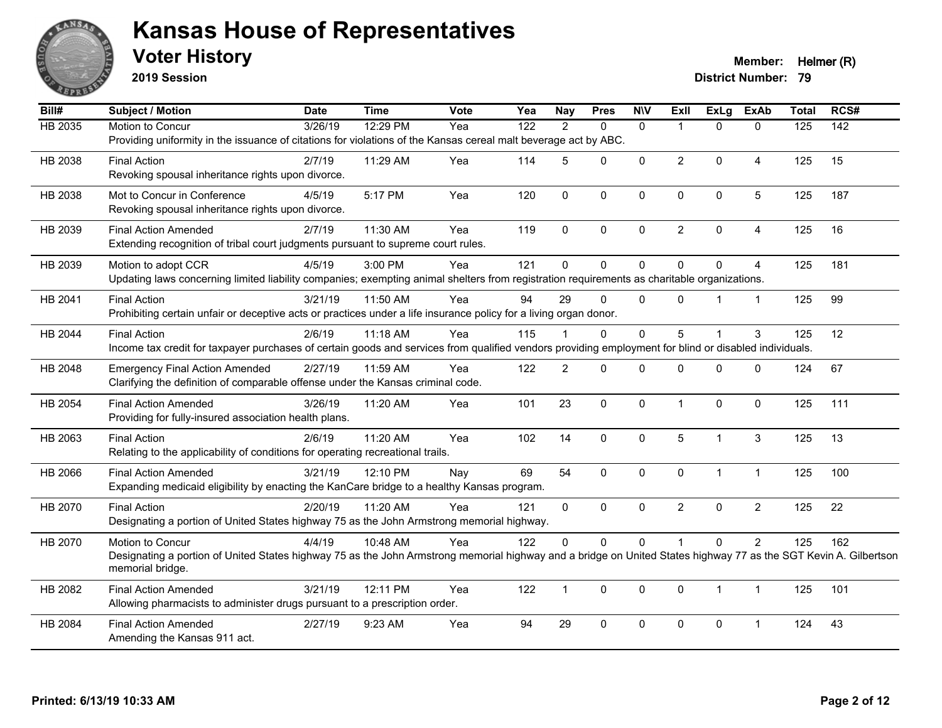

**2019 Session**

**Voter History Member:** Helmer (R)

| Bill#          | Subject / Motion                                                                                                                                                                     | <b>Date</b>      | <b>Time</b> | Vote | Yea              | <b>Nay</b>     | <b>Pres</b>  | <b>NIV</b>   | Exll           | <b>ExLg</b>    | <b>ExAb</b>    | <b>Total</b> | RCS# |
|----------------|--------------------------------------------------------------------------------------------------------------------------------------------------------------------------------------|------------------|-------------|------|------------------|----------------|--------------|--------------|----------------|----------------|----------------|--------------|------|
| <b>HB 2035</b> | Motion to Concur                                                                                                                                                                     | $\sqrt{3}/26/19$ | 12:29 PM    | Yea  | $\overline{122}$ | 2              | $\Omega$     | $\mathbf{0}$ | 1              | $\Omega$       | $\mathbf{0}$   | 125          | 142  |
|                | Providing uniformity in the issuance of citations for violations of the Kansas cereal malt beverage act by ABC.                                                                      |                  |             |      |                  |                |              |              |                |                |                |              |      |
| HB 2038        | <b>Final Action</b>                                                                                                                                                                  | 2/7/19           | 11:29 AM    | Yea  | 114              | 5              | $\Omega$     | $\mathbf{0}$ | $\overline{2}$ | $\Omega$       | $\overline{4}$ | 125          | 15   |
|                | Revoking spousal inheritance rights upon divorce.                                                                                                                                    |                  |             |      |                  |                |              |              |                |                |                |              |      |
| HB 2038        | Mot to Concur in Conference                                                                                                                                                          | 4/5/19           | 5:17 PM     | Yea  | 120              | $\mathbf 0$    | 0            | $\pmb{0}$    | 0              | 0              | $\sqrt{5}$     | 125          | 187  |
|                | Revoking spousal inheritance rights upon divorce.                                                                                                                                    |                  |             |      |                  |                |              |              |                |                |                |              |      |
| HB 2039        | <b>Final Action Amended</b>                                                                                                                                                          | 2/7/19           | 11:30 AM    | Yea  | 119              | $\mathbf{0}$   | $\Omega$     | $\mathbf{0}$ | $\overline{2}$ | $\mathbf 0$    | $\overline{4}$ | 125          | 16   |
|                | Extending recognition of tribal court judgments pursuant to supreme court rules.                                                                                                     |                  |             |      |                  |                |              |              |                |                |                |              |      |
|                |                                                                                                                                                                                      |                  |             |      | 121              | $\Omega$       | $\Omega$     |              | $\Omega$       | $\Omega$       |                |              |      |
| HB 2039        | Motion to adopt CCR<br>Updating laws concerning limited liability companies; exempting animal shelters from registration requirements as charitable organizations.                   | 4/5/19           | 3:00 PM     | Yea  |                  |                |              | $\mathbf 0$  |                |                | $\overline{4}$ | 125          | 181  |
|                |                                                                                                                                                                                      |                  |             |      |                  |                |              |              |                |                |                |              |      |
| HB 2041        | <b>Final Action</b>                                                                                                                                                                  | 3/21/19          | 11:50 AM    | Yea  | 94               | 29             | $\mathbf 0$  | $\mathbf 0$  | 0              |                | $\mathbf{1}$   | 125          | 99   |
|                | Prohibiting certain unfair or deceptive acts or practices under a life insurance policy for a living organ donor.                                                                    |                  |             |      |                  |                |              |              |                |                |                |              |      |
| HB 2044        | <b>Final Action</b>                                                                                                                                                                  | 2/6/19           | $11:18$ AM  | Yea  | 115              |                | $\Omega$     | $\mathbf{0}$ | 5              | $\overline{1}$ | 3              | 125          | 12   |
|                | Income tax credit for taxpayer purchases of certain goods and services from qualified vendors providing employment for blind or disabled individuals.                                |                  |             |      |                  |                |              |              |                |                |                |              |      |
| HB 2048        | <b>Emergency Final Action Amended</b>                                                                                                                                                | 2/27/19          | 11:59 AM    | Yea  | 122              | $\overline{2}$ | $\mathbf{0}$ | $\mathbf{0}$ | 0              | $\Omega$       | $\mathbf 0$    | 124          | 67   |
|                | Clarifying the definition of comparable offense under the Kansas criminal code.                                                                                                      |                  |             |      |                  |                |              |              |                |                |                |              |      |
| HB 2054        | <b>Final Action Amended</b>                                                                                                                                                          | 3/26/19          | 11:20 AM    | Yea  | 101              | 23             | $\mathbf 0$  | $\mathbf{0}$ | 1              | $\mathbf{0}$   | $\mathbf{0}$   | 125          | 111  |
|                | Providing for fully-insured association health plans.                                                                                                                                |                  |             |      |                  |                |              |              |                |                |                |              |      |
| HB 2063        | <b>Final Action</b>                                                                                                                                                                  | 2/6/19           | 11:20 AM    | Yea  | 102              | 14             | 0            | $\mathbf 0$  | 5              | 1              | $\sqrt{3}$     | 125          | 13   |
|                | Relating to the applicability of conditions for operating recreational trails.                                                                                                       |                  |             |      |                  |                |              |              |                |                |                |              |      |
| HB 2066        | <b>Final Action Amended</b>                                                                                                                                                          | 3/21/19          | 12:10 PM    | Nay  | 69               | 54             | 0            | $\mathbf 0$  | $\mathbf 0$    | $\mathbf{1}$   | $\mathbf{1}$   | 125          | 100  |
|                | Expanding medicaid eligibility by enacting the KanCare bridge to a healthy Kansas program.                                                                                           |                  |             |      |                  |                |              |              |                |                |                |              |      |
|                |                                                                                                                                                                                      |                  |             |      |                  |                |              |              |                |                |                |              |      |
| HB 2070        | <b>Final Action</b><br>Designating a portion of United States highway 75 as the John Armstrong memorial highway.                                                                     | 2/20/19          | 11:20 AM    | Yea  | 121              | $\Omega$       | $\Omega$     | $\mathbf{0}$ | $\overline{2}$ | $\Omega$       | $\overline{2}$ | 125          | 22   |
|                |                                                                                                                                                                                      |                  |             |      |                  |                |              |              |                |                |                |              |      |
| HB 2070        | Motion to Concur                                                                                                                                                                     | 4/4/19           | 10:48 AM    | Yea  | 122              | 0              | 0            | $\pmb{0}$    |                | $\mathbf 0$    | $\overline{c}$ | 125          | 162  |
|                | Designating a portion of United States highway 75 as the John Armstrong memorial highway and a bridge on United States highway 77 as the SGT Kevin A. Gilbertson<br>memorial bridge. |                  |             |      |                  |                |              |              |                |                |                |              |      |
|                |                                                                                                                                                                                      |                  |             |      |                  |                |              |              |                |                |                |              |      |
| HB 2082        | <b>Final Action Amended</b>                                                                                                                                                          | 3/21/19          | 12:11 PM    | Yea  | 122              | $\mathbf{1}$   | $\Omega$     | $\mathbf 0$  | $\mathbf{0}$   | $\mathbf 1$    | $\mathbf{1}$   | 125          | 101  |
|                | Allowing pharmacists to administer drugs pursuant to a prescription order.                                                                                                           |                  |             |      |                  |                |              |              |                |                |                |              |      |
| HB 2084        | <b>Final Action Amended</b>                                                                                                                                                          | 2/27/19          | 9:23 AM     | Yea  | 94               | 29             | 0            | $\mathbf 0$  | 0              | 0              | 1              | 124          | 43   |
|                | Amending the Kansas 911 act.                                                                                                                                                         |                  |             |      |                  |                |              |              |                |                |                |              |      |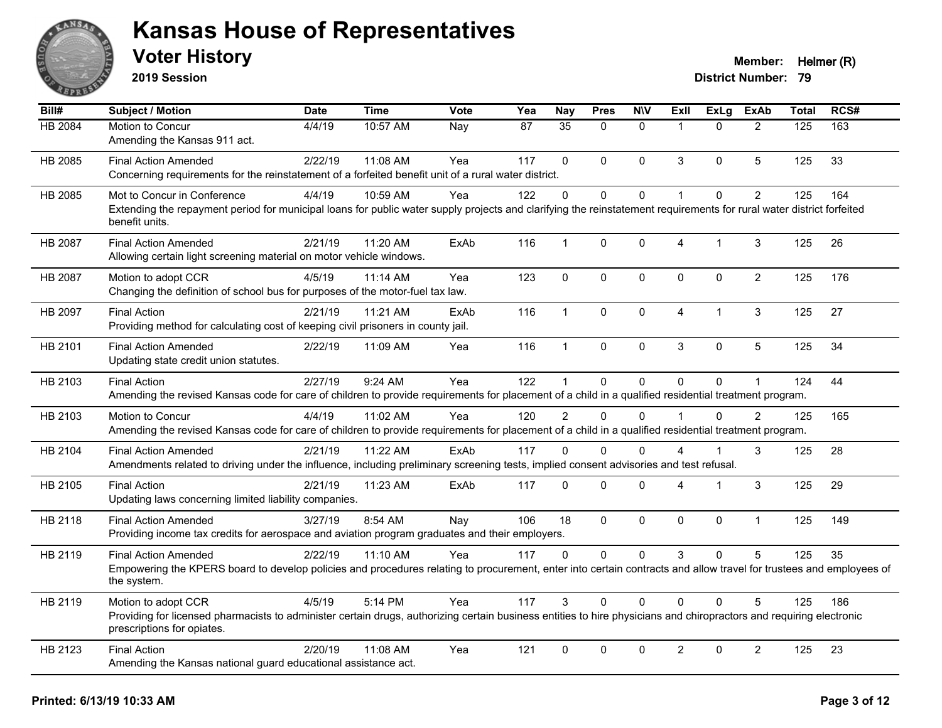

**2019 Session**

| $\overline{BiII#}$ | Subject / Motion                                                                                                                                                                                  | <b>Date</b> | <b>Time</b> | Vote | Yea | <b>Nay</b>     | <b>Pres</b>  | <b>N\V</b>   | ExII                    | <b>ExLg</b> | <b>ExAb</b>    | <b>Total</b> | RCS# |
|--------------------|---------------------------------------------------------------------------------------------------------------------------------------------------------------------------------------------------|-------------|-------------|------|-----|----------------|--------------|--------------|-------------------------|-------------|----------------|--------------|------|
| HB 2084            | Motion to Concur                                                                                                                                                                                  | 4/4/19      | 10:57 AM    | Nay  | 87  | 35             | $\Omega$     | $\mathbf{0}$ | $\overline{1}$          | $\Omega$    | $\overline{2}$ | 125          | 163  |
|                    | Amending the Kansas 911 act.                                                                                                                                                                      |             |             |      |     |                |              |              |                         |             |                |              |      |
| HB 2085            | <b>Final Action Amended</b>                                                                                                                                                                       | 2/22/19     | 11:08 AM    | Yea  | 117 | $\Omega$       | $\Omega$     | $\mathbf{0}$ | 3                       | $\Omega$    | 5              | 125          | 33   |
|                    | Concerning requirements for the reinstatement of a forfeited benefit unit of a rural water district.                                                                                              |             |             |      |     |                |              |              |                         |             |                |              |      |
| HB 2085            | Mot to Concur in Conference                                                                                                                                                                       | 4/4/19      | 10:59 AM    | Yea  | 122 | $\overline{0}$ | $\mathbf 0$  | $\pmb{0}$    | $\mathbf{1}$            | $\mathbf 0$ | $\overline{2}$ | 125          | 164  |
|                    | Extending the repayment period for municipal loans for public water supply projects and clarifying the reinstatement requirements for rural water district forfeited<br>benefit units.            |             |             |      |     |                |              |              |                         |             |                |              |      |
| HB 2087            | <b>Final Action Amended</b>                                                                                                                                                                       | 2/21/19     | 11:20 AM    | ExAb | 116 | $\mathbf{1}$   | $\Omega$     | $\mathbf 0$  | 4                       | 1           | 3              | 125          | 26   |
|                    | Allowing certain light screening material on motor vehicle windows.                                                                                                                               |             |             |      |     |                |              |              |                         |             |                |              |      |
| HB 2087            | Motion to adopt CCR                                                                                                                                                                               | 4/5/19      | 11:14 AM    | Yea  | 123 | $\mathbf{0}$   | $\mathbf{0}$ | $\pmb{0}$    | $\mathbf{0}$            | $\Omega$    | $\overline{2}$ | 125          | 176  |
|                    | Changing the definition of school bus for purposes of the motor-fuel tax law.                                                                                                                     |             |             |      |     |                |              |              |                         |             |                |              |      |
| HB 2097            | <b>Final Action</b>                                                                                                                                                                               | 2/21/19     | 11:21 AM    | ExAb | 116 | $\mathbf{1}$   | $\Omega$     | $\mathbf 0$  | $\overline{\mathbf{4}}$ | 1           | 3              | 125          | 27   |
|                    | Providing method for calculating cost of keeping civil prisoners in county jail.                                                                                                                  |             |             |      |     |                |              |              |                         |             |                |              |      |
| HB 2101            | <b>Final Action Amended</b>                                                                                                                                                                       | 2/22/19     | 11:09 AM    | Yea  | 116 | $\mathbf{1}$   | 0            | $\mathbf 0$  | 3                       | $\mathbf 0$ | 5              | 125          | 34   |
|                    | Updating state credit union statutes.                                                                                                                                                             |             |             |      |     |                |              |              |                         |             |                |              |      |
| HB 2103            | <b>Final Action</b>                                                                                                                                                                               | 2/27/19     | 9:24 AM     | Yea  | 122 | 1              | 0            | $\pmb{0}$    | $\Omega$                | $\mathbf 0$ | $\mathbf{1}$   | 124          | 44   |
|                    | Amending the revised Kansas code for care of children to provide requirements for placement of a child in a qualified residential treatment program.                                              |             |             |      |     |                |              |              |                         |             |                |              |      |
| HB 2103            | Motion to Concur                                                                                                                                                                                  | 4/4/19      | 11:02 AM    | Yea  | 120 | $\overline{2}$ | $\Omega$     | $\Omega$     | $\overline{1}$          | $\Omega$    | $\overline{2}$ | 125          | 165  |
|                    | Amending the revised Kansas code for care of children to provide requirements for placement of a child in a qualified residential treatment program.                                              |             |             |      |     |                |              |              |                         |             |                |              |      |
| HB 2104            | <b>Final Action Amended</b>                                                                                                                                                                       | 2/21/19     | 11:22 AM    | ExAb | 117 | $\Omega$       | $\Omega$     | $\Omega$     | 4                       | 1           | 3              | 125          | 28   |
|                    | Amendments related to driving under the influence, including preliminary screening tests, implied consent advisories and test refusal.                                                            |             |             |      |     |                |              |              |                         |             |                |              |      |
| HB 2105            | <b>Final Action</b>                                                                                                                                                                               | 2/21/19     | 11:23 AM    | ExAb | 117 | $\Omega$       | $\Omega$     | $\mathbf 0$  | 4                       | 1           | 3              | 125          | 29   |
|                    | Updating laws concerning limited liability companies.                                                                                                                                             |             |             |      |     |                |              |              |                         |             |                |              |      |
| HB 2118            | <b>Final Action Amended</b>                                                                                                                                                                       | 3/27/19     | 8:54 AM     | Nay  | 106 | 18             | $\mathbf{0}$ | $\mathbf 0$  | $\mathbf{0}$            | $\mathbf 0$ | $\mathbf{1}$   | 125          | 149  |
|                    | Providing income tax credits for aerospace and aviation program graduates and their employers.                                                                                                    |             |             |      |     |                |              |              |                         |             |                |              |      |
| HB 2119            | <b>Final Action Amended</b>                                                                                                                                                                       | 2/22/19     | 11:10 AM    | Yea  | 117 | $\Omega$       | $\Omega$     | $\mathbf 0$  | 3                       | $\Omega$    | 5              | 125          | 35   |
|                    | Empowering the KPERS board to develop policies and procedures relating to procurement, enter into certain contracts and allow travel for trustees and employees of<br>the system.                 |             |             |      |     |                |              |              |                         |             |                |              |      |
| HB 2119            | Motion to adopt CCR                                                                                                                                                                               | 4/5/19      | 5:14 PM     | Yea  | 117 | 3              | $\Omega$     | $\mathbf{0}$ | $\Omega$                | $\Omega$    | 5              | 125          | 186  |
|                    | Providing for licensed pharmacists to administer certain drugs, authorizing certain business entities to hire physicians and chiropractors and requiring electronic<br>prescriptions for opiates. |             |             |      |     |                |              |              |                         |             |                |              |      |
| HB 2123            | <b>Final Action</b>                                                                                                                                                                               | 2/20/19     | 11:08 AM    | Yea  | 121 | 0              | 0            | $\mathbf 0$  | $\overline{2}$          | $\mathbf 0$ | $\overline{2}$ | 125          | 23   |
|                    | Amending the Kansas national guard educational assistance act.                                                                                                                                    |             |             |      |     |                |              |              |                         |             |                |              |      |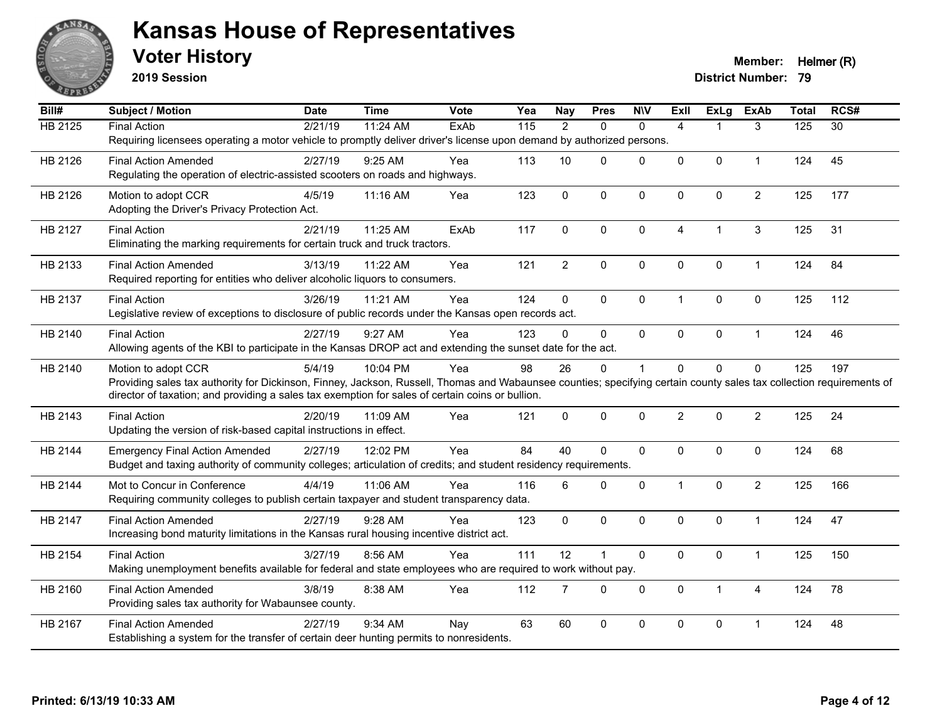

**2019 Session**

| Bill#          | <b>Subject / Motion</b>                                                                                                                                              | <b>Date</b> | <b>Time</b> | <b>Vote</b> | Yea | <b>Nay</b>     | <b>Pres</b>  | <b>N\V</b>   | <b>Exll</b>    | ExLg                 | <b>ExAb</b>    | <b>Total</b>     | RCS#            |
|----------------|----------------------------------------------------------------------------------------------------------------------------------------------------------------------|-------------|-------------|-------------|-----|----------------|--------------|--------------|----------------|----------------------|----------------|------------------|-----------------|
| <b>HB 2125</b> | <b>Final Action</b>                                                                                                                                                  | 2/21/19     | 11:24 AM    | ExAb        | 115 | $\overline{2}$ | $\Omega$     | $\mathbf{0}$ | $\overline{4}$ |                      | 3              | $\overline{125}$ | $\overline{30}$ |
|                | Requiring licensees operating a motor vehicle to promptly deliver driver's license upon demand by authorized persons.                                                |             |             |             |     |                |              |              |                |                      |                |                  |                 |
| HB 2126        | <b>Final Action Amended</b>                                                                                                                                          | 2/27/19     | $9:25$ AM   | Yea         | 113 | 10             | $\Omega$     | $\Omega$     | $\Omega$       | $\Omega$             | $\mathbf{1}$   | 124              | 45              |
|                | Regulating the operation of electric-assisted scooters on roads and highways.                                                                                        |             |             |             |     |                |              |              |                |                      |                |                  |                 |
| HB 2126        | Motion to adopt CCR                                                                                                                                                  | 4/5/19      | 11:16 AM    | Yea         | 123 | $\mathbf 0$    | 0            | $\mathbf 0$  | 0              | $\pmb{0}$            | $\overline{c}$ | 125              | 177             |
|                | Adopting the Driver's Privacy Protection Act.                                                                                                                        |             |             |             |     |                |              |              |                |                      |                |                  |                 |
| HB 2127        | <b>Final Action</b>                                                                                                                                                  | 2/21/19     | 11:25 AM    | ExAb        | 117 | $\Omega$       | $\Omega$     | $\mathbf{0}$ | $\overline{4}$ | $\blacktriangleleft$ | $\sqrt{3}$     | 125              | 31              |
|                | Eliminating the marking requirements for certain truck and truck tractors.                                                                                           |             |             |             |     |                |              |              |                |                      |                |                  |                 |
| HB 2133        | <b>Final Action Amended</b>                                                                                                                                          | 3/13/19     | 11:22 AM    | Yea         | 121 | $\overline{2}$ | 0            | $\pmb{0}$    | 0              | $\mathbf 0$          | $\mathbf{1}$   | 124              | 84              |
|                | Required reporting for entities who deliver alcoholic liquors to consumers.                                                                                          |             |             |             |     |                |              |              |                |                      |                |                  |                 |
| HB 2137        | <b>Final Action</b>                                                                                                                                                  | 3/26/19     | 11:21 AM    | Yea         | 124 | $\mathbf 0$    | 0            | $\pmb{0}$    | $\overline{1}$ | $\mathbf 0$          | $\pmb{0}$      | 125              | 112             |
|                | Legislative review of exceptions to disclosure of public records under the Kansas open records act.                                                                  |             |             |             |     |                |              |              |                |                      |                |                  |                 |
| HB 2140        | <b>Final Action</b>                                                                                                                                                  | 2/27/19     | 9:27 AM     | Yea         | 123 | $\mathbf{0}$   | $\Omega$     | $\mathbf{0}$ | $\Omega$       | 0                    | $\mathbf{1}$   | 124              | 46              |
|                | Allowing agents of the KBI to participate in the Kansas DROP act and extending the sunset date for the act.                                                          |             |             |             |     |                |              |              |                |                      |                |                  |                 |
| HB 2140        | Motion to adopt CCR                                                                                                                                                  | 5/4/19      | 10:04 PM    | Yea         | 98  | 26             | 0            | 1            | 0              | $\mathbf 0$          | $\mathbf 0$    | 125              | 197             |
|                | Providing sales tax authority for Dickinson, Finney, Jackson, Russell, Thomas and Wabaunsee counties; specifying certain county sales tax collection requirements of |             |             |             |     |                |              |              |                |                      |                |                  |                 |
|                | director of taxation; and providing a sales tax exemption for sales of certain coins or bullion.                                                                     |             |             |             |     |                |              |              |                |                      |                |                  |                 |
| HB 2143        | <b>Final Action</b>                                                                                                                                                  | 2/20/19     | 11:09 AM    | Yea         | 121 | $\mathbf{0}$   | 0            | $\mathbf 0$  | $\overline{2}$ | $\mathbf{0}$         | $\overline{c}$ | 125              | 24              |
|                | Updating the version of risk-based capital instructions in effect.                                                                                                   |             |             |             |     |                |              |              |                |                      |                |                  |                 |
| HB 2144        | <b>Emergency Final Action Amended</b>                                                                                                                                | 2/27/19     | 12:02 PM    | Yea         | 84  | 40             | 0            | $\mathbf 0$  | 0              | 0                    | $\mathbf 0$    | 124              | 68              |
|                | Budget and taxing authority of community colleges; articulation of credits; and student residency requirements.                                                      |             |             |             |     |                |              |              |                |                      |                |                  |                 |
| HB 2144        | Mot to Concur in Conference                                                                                                                                          | 4/4/19      | 11:06 AM    | Yea         | 116 | 6              | $\Omega$     | $\mathbf 0$  | $\mathbf 1$    | $\mathbf{0}$         | $\overline{2}$ | 125              | 166             |
|                | Requiring community colleges to publish certain taxpayer and student transparency data.                                                                              |             |             |             |     |                |              |              |                |                      |                |                  |                 |
| HB 2147        | <b>Final Action Amended</b>                                                                                                                                          | 2/27/19     | 9:28 AM     | Yea         | 123 | 0              | 0            | $\mathbf 0$  | $\Omega$       | $\mathbf{0}$         | $\mathbf{1}$   | 124              | 47              |
|                | Increasing bond maturity limitations in the Kansas rural housing incentive district act.                                                                             |             |             |             |     |                |              |              |                |                      |                |                  |                 |
| HB 2154        | <b>Final Action</b>                                                                                                                                                  | 3/27/19     | 8:56 AM     | Yea         | 111 | 12             | $\mathbf{1}$ | $\mathbf 0$  | $\Omega$       | $\mathbf 0$          | $\mathbf{1}$   | 125              | 150             |
|                | Making unemployment benefits available for federal and state employees who are required to work without pay.                                                         |             |             |             |     |                |              |              |                |                      |                |                  |                 |
| HB 2160        | <b>Final Action Amended</b>                                                                                                                                          | 3/8/19      | 8:38 AM     | Yea         | 112 | 7              | $\mathbf 0$  | $\mathbf 0$  | $\mathbf 0$    | $\mathbf{1}$         | $\overline{4}$ | 124              | 78              |
|                | Providing sales tax authority for Wabaunsee county.                                                                                                                  |             |             |             |     |                |              |              |                |                      |                |                  |                 |
| HB 2167        | <b>Final Action Amended</b>                                                                                                                                          | 2/27/19     | 9:34 AM     | Nay         | 63  | 60             | 0            | 0            | 0              | 0                    | 1              | 124              | 48              |
|                | Establishing a system for the transfer of certain deer hunting permits to nonresidents.                                                                              |             |             |             |     |                |              |              |                |                      |                |                  |                 |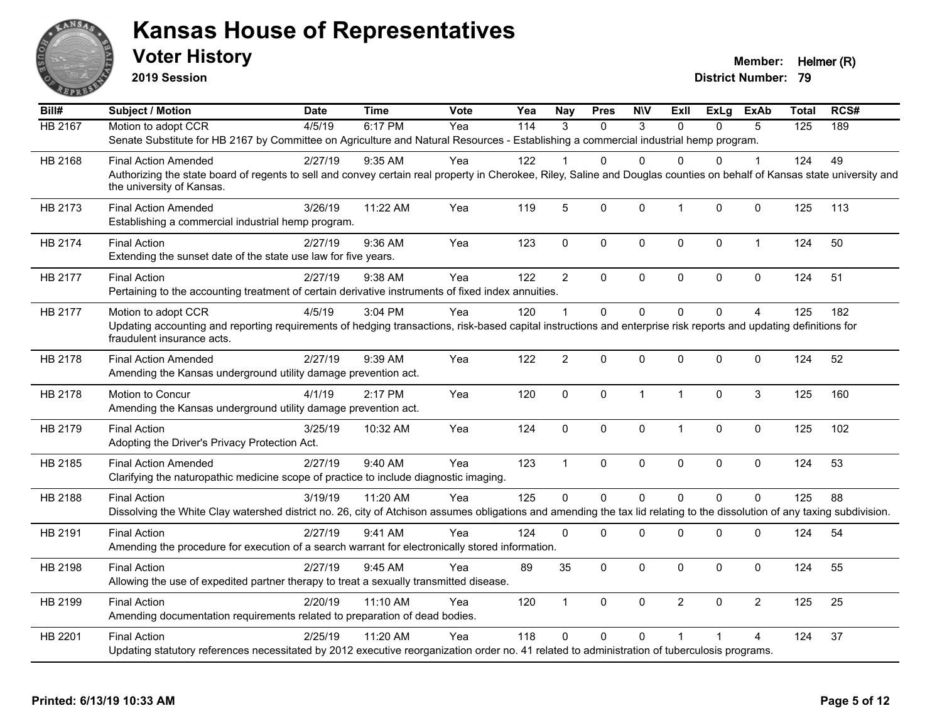

**2019 Session**

| Bill#          | <b>Subject / Motion</b>                                                                                                                                                                               | <b>Date</b> | <b>Time</b> | <b>Vote</b> | Yea | <b>Nay</b>     | <b>Pres</b>  | <b>NIV</b>   | Exll           | ExLg         | ExAb           | <b>Total</b> | RCS# |
|----------------|-------------------------------------------------------------------------------------------------------------------------------------------------------------------------------------------------------|-------------|-------------|-------------|-----|----------------|--------------|--------------|----------------|--------------|----------------|--------------|------|
| <b>HB 2167</b> | Motion to adopt CCR                                                                                                                                                                                   | 4/5/19      | 6:17 PM     | Yea         | 114 | 3              | $\Omega$     | 3            | $\Omega$       | $\Omega$     | 5              | 125          | 189  |
|                | Senate Substitute for HB 2167 by Committee on Agriculture and Natural Resources - Establishing a commercial industrial hemp program.                                                                  |             |             |             |     |                |              |              |                |              |                |              |      |
| HB 2168        | <b>Final Action Amended</b>                                                                                                                                                                           | 2/27/19     | 9:35 AM     | Yea         | 122 |                | 0            | $\Omega$     | <sup>0</sup>   | 0            | 1              | 124          | 49   |
|                | Authorizing the state board of regents to sell and convey certain real property in Cherokee, Riley, Saline and Douglas counties on behalf of Kansas state university and<br>the university of Kansas. |             |             |             |     |                |              |              |                |              |                |              |      |
| HB 2173        | <b>Final Action Amended</b><br>Establishing a commercial industrial hemp program.                                                                                                                     | 3/26/19     | 11:22 AM    | Yea         | 119 | 5              | $\mathbf 0$  | $\mathbf 0$  | $\mathbf{1}$   | 0            | $\mathbf 0$    | 125          | 113  |
| HB 2174        | <b>Final Action</b><br>Extending the sunset date of the state use law for five years.                                                                                                                 | 2/27/19     | 9:36 AM     | Yea         | 123 | $\mathbf 0$    | $\mathbf 0$  | 0            | $\mathbf 0$    | 0            | $\mathbf{1}$   | 124          | 50   |
| HB 2177        | <b>Final Action</b>                                                                                                                                                                                   | 2/27/19     | 9:38 AM     | Yea         | 122 | $\overline{c}$ | 0            | $\mathbf 0$  | $\mathbf 0$    | $\mathbf{0}$ | $\pmb{0}$      | 124          | 51   |
|                | Pertaining to the accounting treatment of certain derivative instruments of fixed index annuities.                                                                                                    |             |             |             |     |                |              |              |                |              |                |              |      |
| HB 2177        | Motion to adopt CCR                                                                                                                                                                                   | 4/5/19      | 3:04 PM     | Yea         | 120 | $\overline{1}$ | $\Omega$     | $\Omega$     | $\mathbf{0}$   | $\mathbf{0}$ | $\overline{4}$ | 125          | 182  |
|                | Updating accounting and reporting requirements of hedging transactions, risk-based capital instructions and enterprise risk reports and updating definitions for<br>fraudulent insurance acts.        |             |             |             |     |                |              |              |                |              |                |              |      |
| HB 2178        | <b>Final Action Amended</b><br>Amending the Kansas underground utility damage prevention act.                                                                                                         | 2/27/19     | 9:39 AM     | Yea         | 122 | $\overline{2}$ | $\mathbf 0$  | $\mathbf 0$  | $\mathbf 0$    | 0            | 0              | 124          | 52   |
| HB 2178        | Motion to Concur<br>Amending the Kansas underground utility damage prevention act.                                                                                                                    | 4/1/19      | 2:17 PM     | Yea         | 120 | $\mathbf{0}$   | $\Omega$     | $\mathbf{1}$ | $\overline{1}$ | $\mathbf{0}$ | 3              | 125          | 160  |
| HB 2179        | <b>Final Action</b><br>Adopting the Driver's Privacy Protection Act.                                                                                                                                  | 3/25/19     | 10:32 AM    | Yea         | 124 | $\mathbf 0$    | 0            | 0            | $\overline{1}$ | 0            | $\pmb{0}$      | 125          | 102  |
| HB 2185        | <b>Final Action Amended</b><br>Clarifying the naturopathic medicine scope of practice to include diagnostic imaging.                                                                                  | 2/27/19     | 9:40 AM     | Yea         | 123 | $\mathbf{1}$   | 0            | $\pmb{0}$    | $\mathbf 0$    | 0            | 0              | 124          | 53   |
| HB 2188        | <b>Final Action</b>                                                                                                                                                                                   | 3/19/19     | 11:20 AM    | Yea         | 125 | $\mathbf 0$    | $\mathbf 0$  | $\mathbf 0$  | $\Omega$       | $\Omega$     | $\mathbf 0$    | 125          | 88   |
|                | Dissolving the White Clay watershed district no. 26, city of Atchison assumes obligations and amending the tax lid relating to the dissolution of any taxing subdivision.                             |             |             |             |     |                |              |              |                |              |                |              |      |
| HB 2191        | <b>Final Action</b><br>Amending the procedure for execution of a search warrant for electronically stored information.                                                                                | 2/27/19     | 9:41 AM     | Yea         | 124 | $\Omega$       | 0            | 0            | $\mathbf 0$    | 0            | $\pmb{0}$      | 124          | 54   |
| HB 2198        | <b>Final Action</b><br>Allowing the use of expedited partner therapy to treat a sexually transmitted disease.                                                                                         | 2/27/19     | 9:45 AM     | Yea         | 89  | 35             | 0            | 0            | $\mathbf 0$    | 0            | 0              | 124          | 55   |
| HB 2199        | <b>Final Action</b><br>Amending documentation requirements related to preparation of dead bodies.                                                                                                     | 2/20/19     | 11:10 AM    | Yea         | 120 | $\mathbf{1}$   | $\mathbf{0}$ | $\mathbf 0$  | $\overline{2}$ | $\mathbf{0}$ | $\overline{2}$ | 125          | 25   |
| HB 2201        | <b>Final Action</b><br>Updating statutory references necessitated by 2012 executive reorganization order no. 41 related to administration of tuberculosis programs.                                   | 2/25/19     | 11:20 AM    | Yea         | 118 | $\Omega$       | $\mathbf 0$  | $\Omega$     |                |              | 4              | 124          | 37   |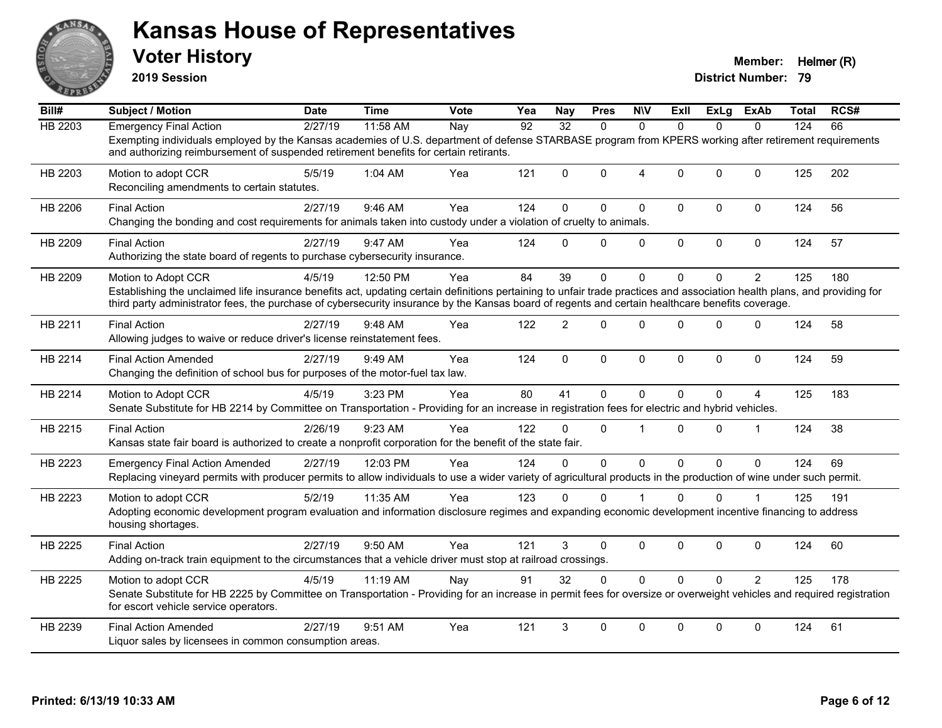

**2019 Session**

| Bill#          | <b>Subject / Motion</b>                                                                                                                                                                                                                                                                                                       | <b>Date</b> | <b>Time</b> | <b>Vote</b> | Yea | <b>Nay</b>      | <b>Pres</b> | <b>NIV</b>     | ExII         | ExLg         | ExAb           | Total | RCS# |
|----------------|-------------------------------------------------------------------------------------------------------------------------------------------------------------------------------------------------------------------------------------------------------------------------------------------------------------------------------|-------------|-------------|-------------|-----|-----------------|-------------|----------------|--------------|--------------|----------------|-------|------|
| <b>HB 2203</b> | <b>Emergency Final Action</b>                                                                                                                                                                                                                                                                                                 | 2/27/19     | 11:58 AM    | Nay         | 92  | $\overline{32}$ | $\Omega$    | $\Omega$       | $\Omega$     | $\Omega$     | $\Omega$       | 124   | 66   |
|                | Exempting individuals employed by the Kansas academies of U.S. department of defense STARBASE program from KPERS working after retirement requirements<br>and authorizing reimbursement of suspended retirement benefits for certain retirants.                                                                               |             |             |             |     |                 |             |                |              |              |                |       |      |
| HB 2203        | Motion to adopt CCR<br>Reconciling amendments to certain statutes.                                                                                                                                                                                                                                                            | 5/5/19      | 1:04 AM     | Yea         | 121 | $\Omega$        | $\Omega$    | $\overline{4}$ | $\Omega$     | $\Omega$     | $\mathbf{0}$   | 125   | 202  |
| HB 2206        | <b>Final Action</b><br>Changing the bonding and cost requirements for animals taken into custody under a violation of cruelty to animals.                                                                                                                                                                                     | 2/27/19     | 9:46 AM     | Yea         | 124 | $\Omega$        | $\Omega$    | $\mathbf{0}$   | $\mathbf{0}$ | $\Omega$     | $\mathbf 0$    | 124   | 56   |
| HB 2209        | <b>Final Action</b><br>Authorizing the state board of regents to purchase cybersecurity insurance.                                                                                                                                                                                                                            | 2/27/19     | 9:47 AM     | Yea         | 124 | $\Omega$        | $\Omega$    | $\mathbf 0$    | $\mathbf 0$  | $\mathbf 0$  | $\mathbf 0$    | 124   | 57   |
| HB 2209        | Motion to Adopt CCR                                                                                                                                                                                                                                                                                                           | 4/5/19      | 12:50 PM    | Yea         | 84  | 39              | $\Omega$    | $\Omega$       | $\mathbf{0}$ | $\Omega$     | $\overline{2}$ | 125   | 180  |
|                | Establishing the unclaimed life insurance benefits act, updating certain definitions pertaining to unfair trade practices and association health plans, and providing for<br>third party administrator fees, the purchase of cybersecurity insurance by the Kansas board of regents and certain healthcare benefits coverage. |             |             |             |     |                 |             |                |              |              |                |       |      |
| HB 2211        | <b>Final Action</b><br>Allowing judges to waive or reduce driver's license reinstatement fees.                                                                                                                                                                                                                                | 2/27/19     | 9:48 AM     | Yea         | 122 | $\overline{2}$  | $\Omega$    | $\mathbf{0}$   | $\Omega$     | $\Omega$     | $\mathbf 0$    | 124   | 58   |
| HB 2214        | <b>Final Action Amended</b><br>Changing the definition of school bus for purposes of the motor-fuel tax law.                                                                                                                                                                                                                  | 2/27/19     | 9:49 AM     | Yea         | 124 | $\mathbf{0}$    | $\mathbf 0$ | $\mathbf 0$    | $\mathbf{0}$ | $\mathbf{0}$ | $\mathbf 0$    | 124   | 59   |
| HB 2214        | Motion to Adopt CCR<br>Senate Substitute for HB 2214 by Committee on Transportation - Providing for an increase in registration fees for electric and hybrid vehicles.                                                                                                                                                        | 4/5/19      | 3:23 PM     | Yea         | 80  | 41              | 0           | $\mathbf{0}$   | $\mathbf{0}$ | 0            | 4              | 125   | 183  |
| HB 2215        | <b>Final Action</b><br>Kansas state fair board is authorized to create a nonprofit corporation for the benefit of the state fair.                                                                                                                                                                                             | 2/26/19     | 9:23 AM     | Yea         | 122 | $\Omega$        | $\Omega$    | $\overline{1}$ | $\Omega$     | $\Omega$     | $\overline{1}$ | 124   | 38   |
| HB 2223        | <b>Emergency Final Action Amended</b><br>Replacing vineyard permits with producer permits to allow individuals to use a wider variety of agricultural products in the production of wine under such permit.                                                                                                                   | 2/27/19     | 12:03 PM    | Yea         | 124 | $\Omega$        | $\mathbf 0$ | $\mathbf 0$    | $\mathbf{0}$ | $\Omega$     | $\mathbf{0}$   | 124   | 69   |
| HB 2223        | Motion to adopt CCR<br>Adopting economic development program evaluation and information disclosure regimes and expanding economic development incentive financing to address<br>housing shortages.                                                                                                                            | 5/2/19      | 11:35 AM    | Yea         | 123 | $\Omega$        | $\Omega$    |                | $\Omega$     | $\Omega$     |                | 125   | 191  |
| HB 2225        | <b>Final Action</b><br>Adding on-track train equipment to the circumstances that a vehicle driver must stop at railroad crossings.                                                                                                                                                                                            | 2/27/19     | 9:50 AM     | Yea         | 121 | 3               | $\Omega$    | $\mathbf 0$    | 0            | $\Omega$     | $\mathbf 0$    | 124   | 60   |
| HB 2225        | Motion to adopt CCR<br>Senate Substitute for HB 2225 by Committee on Transportation - Providing for an increase in permit fees for oversize or overweight vehicles and required registration<br>for escort vehicle service operators.                                                                                         | 4/5/19      | 11:19 AM    | Nay         | 91  | 32              | $\Omega$    | $\Omega$       | $\Omega$     | $\Omega$     | $\overline{2}$ | 125   | 178  |
| HB 2239        | <b>Final Action Amended</b><br>Liquor sales by licensees in common consumption areas.                                                                                                                                                                                                                                         | 2/27/19     | 9:51 AM     | Yea         | 121 | 3               | $\Omega$    | $\mathbf{0}$   | $\Omega$     | $\Omega$     | $\mathbf{0}$   | 124   | 61   |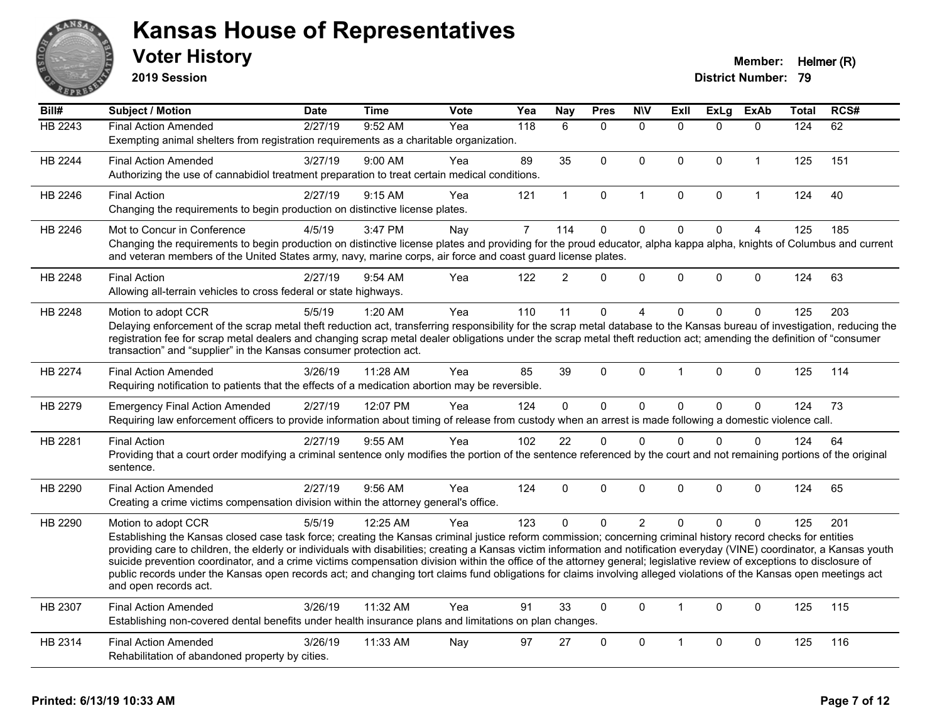

**2019 Session**

| Bill#          | <b>Subject / Motion</b>                                                                                                                                                                                                                                                                                                                               | <b>Date</b> | <b>Time</b> | <b>Vote</b> | Yea              | Nay            | <b>Pres</b>  | <b>NIV</b>     | ExII                 | <b>ExLg</b>  | <b>ExAb</b>    | <b>Total</b> | RCS# |
|----------------|-------------------------------------------------------------------------------------------------------------------------------------------------------------------------------------------------------------------------------------------------------------------------------------------------------------------------------------------------------|-------------|-------------|-------------|------------------|----------------|--------------|----------------|----------------------|--------------|----------------|--------------|------|
| <b>HB 2243</b> | <b>Final Action Amended</b>                                                                                                                                                                                                                                                                                                                           | 2/27/19     | 9:52 AM     | Yea         | $\overline{118}$ | 6              | $\mathbf{0}$ | $\mathbf{0}$   | $\Omega$             | $\Omega$     | $\mathbf{0}$   | 124          | 62   |
|                | Exempting animal shelters from registration requirements as a charitable organization.                                                                                                                                                                                                                                                                |             |             |             |                  |                |              |                |                      |              |                |              |      |
| HB 2244        | <b>Final Action Amended</b>                                                                                                                                                                                                                                                                                                                           | 3/27/19     | $9:00$ AM   | Yea         | 89               | 35             | $\mathbf{0}$ | $\Omega$       | $\Omega$             | $\mathbf{0}$ | $\overline{1}$ | 125          | 151  |
|                | Authorizing the use of cannabidiol treatment preparation to treat certain medical conditions.                                                                                                                                                                                                                                                         |             |             |             |                  |                |              |                |                      |              |                |              |      |
| HB 2246        | <b>Final Action</b>                                                                                                                                                                                                                                                                                                                                   | 2/27/19     | 9:15 AM     | Yea         | 121              | $\mathbf{1}$   | $\pmb{0}$    | 1              | $\mathbf 0$          | $\pmb{0}$    | $\mathbf{1}$   | 124          | 40   |
|                | Changing the requirements to begin production on distinctive license plates.                                                                                                                                                                                                                                                                          |             |             |             |                  |                |              |                |                      |              |                |              |      |
| HB 2246        | Mot to Concur in Conference                                                                                                                                                                                                                                                                                                                           | 4/5/19      | 3:47 PM     | Nay         | $\overline{7}$   | 114            | $\mathbf 0$  | 0              | $\mathbf{0}$         | $\mathbf 0$  | $\overline{4}$ | 125          | 185  |
|                | Changing the requirements to begin production on distinctive license plates and providing for the proud educator, alpha kappa alpha, knights of Columbus and current<br>and veteran members of the United States army, navy, marine corps, air force and coast guard license plates.                                                                  |             |             |             |                  |                |              |                |                      |              |                |              |      |
|                |                                                                                                                                                                                                                                                                                                                                                       |             |             |             |                  |                |              |                |                      |              |                |              |      |
| HB 2248        | <b>Final Action</b>                                                                                                                                                                                                                                                                                                                                   | 2/27/19     | 9:54 AM     | Yea         | 122              | $\overline{2}$ | $\Omega$     | 0              | $\Omega$             | $\Omega$     | $\mathbf 0$    | 124          | 63   |
|                | Allowing all-terrain vehicles to cross federal or state highways.                                                                                                                                                                                                                                                                                     |             |             |             |                  |                |              |                |                      |              |                |              |      |
| HB 2248        | Motion to adopt CCR                                                                                                                                                                                                                                                                                                                                   | 5/5/19      | $1:20$ AM   | Yea         | 110              | 11             | $\Omega$     | 4              | $\Omega$             | $\Omega$     | $\mathbf{0}$   | 125          | 203  |
|                | Delaying enforcement of the scrap metal theft reduction act, transferring responsibility for the scrap metal database to the Kansas bureau of investigation, reducing the                                                                                                                                                                             |             |             |             |                  |                |              |                |                      |              |                |              |      |
|                | registration fee for scrap metal dealers and changing scrap metal dealer obligations under the scrap metal theft reduction act; amending the definition of "consumer<br>transaction" and "supplier" in the Kansas consumer protection act.                                                                                                            |             |             |             |                  |                |              |                |                      |              |                |              |      |
|                |                                                                                                                                                                                                                                                                                                                                                       |             |             |             |                  |                |              |                |                      |              |                |              |      |
| <b>HB 2274</b> | <b>Final Action Amended</b><br>Requiring notification to patients that the effects of a medication abortion may be reversible.                                                                                                                                                                                                                        | 3/26/19     | 11:28 AM    | Yea         | 85               | 39             | $\Omega$     | 0              |                      | $\Omega$     | $\mathbf 0$    | 125          | 114  |
|                |                                                                                                                                                                                                                                                                                                                                                       |             |             |             |                  |                |              |                |                      |              |                |              |      |
| HB 2279        | <b>Emergency Final Action Amended</b>                                                                                                                                                                                                                                                                                                                 | 2/27/19     | 12:07 PM    | Yea         | 124              | $\Omega$       | $\mathbf{0}$ | 0              | $\Omega$             | $\mathbf{0}$ | $\mathbf{0}$   | 124          | 73   |
|                | Requiring law enforcement officers to provide information about timing of release from custody when an arrest is made following a domestic violence call.                                                                                                                                                                                             |             |             |             |                  |                |              |                |                      |              |                |              |      |
| HB 2281        | <b>Final Action</b>                                                                                                                                                                                                                                                                                                                                   | 2/27/19     | 9:55 AM     | Yea         | 102              | 22             | $\mathbf{0}$ | $\mathbf{0}$   | $\Omega$             | $\Omega$     | $\mathbf{0}$   | 124          | 64   |
|                | Providing that a court order modifying a criminal sentence only modifies the portion of the sentence referenced by the court and not remaining portions of the original<br>sentence.                                                                                                                                                                  |             |             |             |                  |                |              |                |                      |              |                |              |      |
|                |                                                                                                                                                                                                                                                                                                                                                       |             |             |             |                  |                |              |                |                      |              |                |              |      |
| HB 2290        | <b>Final Action Amended</b>                                                                                                                                                                                                                                                                                                                           | 2/27/19     | 9:56 AM     | Yea         | 124              | $\Omega$       | $\mathbf{0}$ | $\Omega$       | $\Omega$             | $\Omega$     | $\mathbf{0}$   | 124          | 65   |
|                | Creating a crime victims compensation division within the attorney general's office.                                                                                                                                                                                                                                                                  |             |             |             |                  |                |              |                |                      |              |                |              |      |
| HB 2290        | Motion to adopt CCR                                                                                                                                                                                                                                                                                                                                   | 5/5/19      | 12:25 AM    | Yea         | 123              | $\mathbf{0}$   | $\Omega$     | $\overline{2}$ | $\Omega$             | $\Omega$     | $\Omega$       | 125          | 201  |
|                | Establishing the Kansas closed case task force; creating the Kansas criminal justice reform commission; concerning criminal history record checks for entities                                                                                                                                                                                        |             |             |             |                  |                |              |                |                      |              |                |              |      |
|                | providing care to children, the elderly or individuals with disabilities; creating a Kansas victim information and notification everyday (VINE) coordinator, a Kansas youth<br>suicide prevention coordinator, and a crime victims compensation division within the office of the attorney general; legislative review of exceptions to disclosure of |             |             |             |                  |                |              |                |                      |              |                |              |      |
|                | public records under the Kansas open records act; and changing tort claims fund obligations for claims involving alleged violations of the Kansas open meetings act                                                                                                                                                                                   |             |             |             |                  |                |              |                |                      |              |                |              |      |
|                | and open records act.                                                                                                                                                                                                                                                                                                                                 |             |             |             |                  |                |              |                |                      |              |                |              |      |
| HB 2307        | <b>Final Action Amended</b>                                                                                                                                                                                                                                                                                                                           | 3/26/19     | 11:32 AM    | Yea         | 91               | 33             | $\mathbf{0}$ | $\Omega$       | $\blacktriangleleft$ | $\mathbf{0}$ | $\mathbf{0}$   | 125          | 115  |
|                | Establishing non-covered dental benefits under health insurance plans and limitations on plan changes.                                                                                                                                                                                                                                                |             |             |             |                  |                |              |                |                      |              |                |              |      |
| HB 2314        | <b>Final Action Amended</b>                                                                                                                                                                                                                                                                                                                           | 3/26/19     | 11:33 AM    | Nay         | 97               | 27             | $\Omega$     | $\Omega$       |                      | $\Omega$     | $\mathbf{0}$   | 125          | 116  |
|                | Rehabilitation of abandoned property by cities.                                                                                                                                                                                                                                                                                                       |             |             |             |                  |                |              |                |                      |              |                |              |      |
|                |                                                                                                                                                                                                                                                                                                                                                       |             |             |             |                  |                |              |                |                      |              |                |              |      |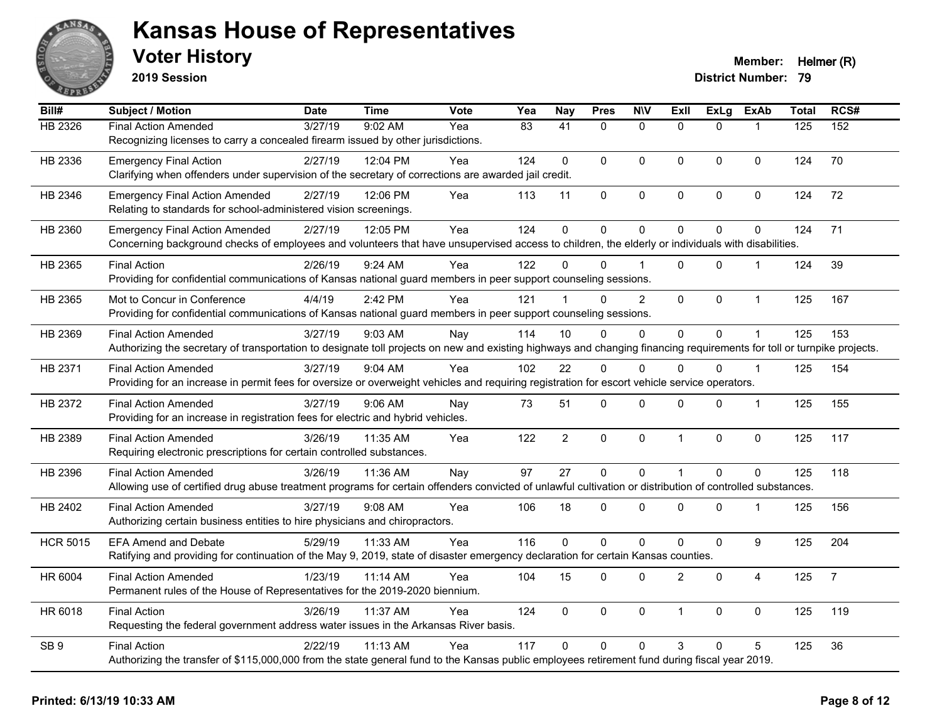

**2019 Session**

| Bill#           | Subject / Motion                                                                                                                                                       | <b>Date</b> | <b>Time</b> | Vote | Yea | <b>Nay</b>      | <b>Pres</b>  | <b>NIV</b>     | <b>Exll</b>    | <b>ExLg</b> | <b>ExAb</b>      | <b>Total</b> | RCS#           |
|-----------------|------------------------------------------------------------------------------------------------------------------------------------------------------------------------|-------------|-------------|------|-----|-----------------|--------------|----------------|----------------|-------------|------------------|--------------|----------------|
| HB 2326         | <b>Final Action Amended</b>                                                                                                                                            | 3/27/19     | 9:02 AM     | Yea  | 83  | $\overline{41}$ | $\mathbf{0}$ | $\mathbf{0}$   | $\Omega$       | $\Omega$    | $\mathbf{1}$     | 125          | 152            |
|                 | Recognizing licenses to carry a concealed firearm issued by other jurisdictions.                                                                                       |             |             |      |     |                 |              |                |                |             |                  |              |                |
| HB 2336         | <b>Emergency Final Action</b>                                                                                                                                          | 2/27/19     | 12:04 PM    | Yea  | 124 | $\Omega$        | $\Omega$     | $\mathbf{0}$   | $\overline{0}$ | $\Omega$    | $\mathbf 0$      | 124          | 70             |
|                 | Clarifying when offenders under supervision of the secretary of corrections are awarded jail credit.                                                                   |             |             |      |     |                 |              |                |                |             |                  |              |                |
| HB 2346         | <b>Emergency Final Action Amended</b>                                                                                                                                  | 2/27/19     | 12:06 PM    | Yea  | 113 | 11              | $\mathsf 0$  | $\pmb{0}$      | 0              | 0           | $\pmb{0}$        | 124          | 72             |
|                 | Relating to standards for school-administered vision screenings.                                                                                                       |             |             |      |     |                 |              |                |                |             |                  |              |                |
| HB 2360         | <b>Emergency Final Action Amended</b>                                                                                                                                  | 2/27/19     | 12:05 PM    | Yea  | 124 | $\mathbf 0$     | 0            | $\mathbf 0$    | $\Omega$       | 0           | $\mathbf 0$      | 124          | 71             |
|                 | Concerning background checks of employees and volunteers that have unsupervised access to children, the elderly or individuals with disabilities.                      |             |             |      |     |                 |              |                |                |             |                  |              |                |
| HB 2365         | <b>Final Action</b>                                                                                                                                                    | 2/26/19     | 9:24 AM     | Yea  | 122 | $\Omega$        | $\Omega$     |                | $\Omega$       | $\Omega$    | $\mathbf{1}$     | 124          | 39             |
|                 | Providing for confidential communications of Kansas national guard members in peer support counseling sessions.                                                        |             |             |      |     |                 |              |                |                |             |                  |              |                |
| HB 2365         | Mot to Concur in Conference                                                                                                                                            | 4/4/19      | 2:42 PM     | Yea  | 121 |                 | $\Omega$     | $\overline{2}$ | 0              | 0           | $\mathbf{1}$     | 125          | 167            |
|                 | Providing for confidential communications of Kansas national guard members in peer support counseling sessions.                                                        |             |             |      |     |                 |              |                |                |             |                  |              |                |
| HB 2369         | <b>Final Action Amended</b>                                                                                                                                            | 3/27/19     | 9:03 AM     | Nay  | 114 | 10              | $\Omega$     | 0              | $\overline{0}$ | 0           | $\mathbf 1$      | 125          | 153            |
|                 | Authorizing the secretary of transportation to designate toll projects on new and existing highways and changing financing requirements for toll or turnpike projects. |             |             |      |     |                 |              |                |                |             |                  |              |                |
| HB 2371         | <b>Final Action Amended</b>                                                                                                                                            | 3/27/19     | 9:04 AM     | Yea  | 102 | 22              | $\Omega$     | $\Omega$       | $\Omega$       | $\Omega$    | $\mathbf{1}$     | 125          | 154            |
|                 | Providing for an increase in permit fees for oversize or overweight vehicles and requiring registration for escort vehicle service operators.                          |             |             |      |     |                 |              |                |                |             |                  |              |                |
| HB 2372         | <b>Final Action Amended</b>                                                                                                                                            | 3/27/19     | 9:06 AM     | Nay  | 73  | 51              | $\mathsf 0$  | $\pmb{0}$      | 0              | 0           | 1                | 125          | 155            |
|                 | Providing for an increase in registration fees for electric and hybrid vehicles.                                                                                       |             |             |      |     |                 |              |                |                |             |                  |              |                |
| HB 2389         | <b>Final Action Amended</b>                                                                                                                                            | 3/26/19     | 11:35 AM    | Yea  | 122 | $\overline{a}$  | $\mathbf 0$  | $\mathbf 0$    | $\mathbf{1}$   | $\mathbf 0$ | $\pmb{0}$        | 125          | 117            |
|                 | Requiring electronic prescriptions for certain controlled substances.                                                                                                  |             |             |      |     |                 |              |                |                |             |                  |              |                |
| HB 2396         | <b>Final Action Amended</b>                                                                                                                                            | 3/26/19     | 11:36 AM    | Nay  | 97  | 27              | $\mathbf 0$  | $\mathbf 0$    | $\mathbf{1}$   | $\Omega$    | $\mathbf 0$      | 125          | 118            |
|                 | Allowing use of certified drug abuse treatment programs for certain offenders convicted of unlawful cultivation or distribution of controlled substances.              |             |             |      |     |                 |              |                |                |             |                  |              |                |
| HB 2402         | <b>Final Action Amended</b>                                                                                                                                            | 3/27/19     | 9:08 AM     | Yea  | 106 | 18              | 0            | $\mathbf 0$    | 0              | 0           |                  | 125          | 156            |
|                 | Authorizing certain business entities to hire physicians and chiropractors.                                                                                            |             |             |      |     |                 |              |                |                |             |                  |              |                |
| <b>HCR 5015</b> | <b>EFA Amend and Debate</b>                                                                                                                                            | 5/29/19     | 11:33 AM    | Yea  | 116 | $\Omega$        | $\mathbf 0$  | $\mathbf 0$    | 0              | 0           | $\boldsymbol{9}$ | 125          | 204            |
|                 | Ratifying and providing for continuation of the May 9, 2019, state of disaster emergency declaration for certain Kansas counties.                                      |             |             |      |     |                 |              |                |                |             |                  |              |                |
| HR 6004         | <b>Final Action Amended</b>                                                                                                                                            | 1/23/19     | 11:14 AM    | Yea  | 104 | 15              | $\Omega$     | $\mathbf 0$    | $\overline{2}$ | $\Omega$    | $\overline{4}$   | 125          | $\overline{7}$ |
|                 | Permanent rules of the House of Representatives for the 2019-2020 biennium.                                                                                            |             |             |      |     |                 |              |                |                |             |                  |              |                |
| HR 6018         | <b>Final Action</b>                                                                                                                                                    | 3/26/19     | 11:37 AM    | Yea  | 124 | $\mathbf 0$     | 0            | $\mathbf 0$    | $\mathbf{1}$   | 0           | $\mathbf 0$      | 125          | 119            |
|                 | Requesting the federal government address water issues in the Arkansas River basis.                                                                                    |             |             |      |     |                 |              |                |                |             |                  |              |                |
| SB <sub>9</sub> | <b>Final Action</b>                                                                                                                                                    | 2/22/19     | 11:13 AM    | Yea  | 117 | $\Omega$        | $\Omega$     | $\mathbf{0}$   | 3              | $\Omega$    | 5                | 125          | 36             |
|                 | Authorizing the transfer of \$115,000,000 from the state general fund to the Kansas public employees retirement fund during fiscal year 2019.                          |             |             |      |     |                 |              |                |                |             |                  |              |                |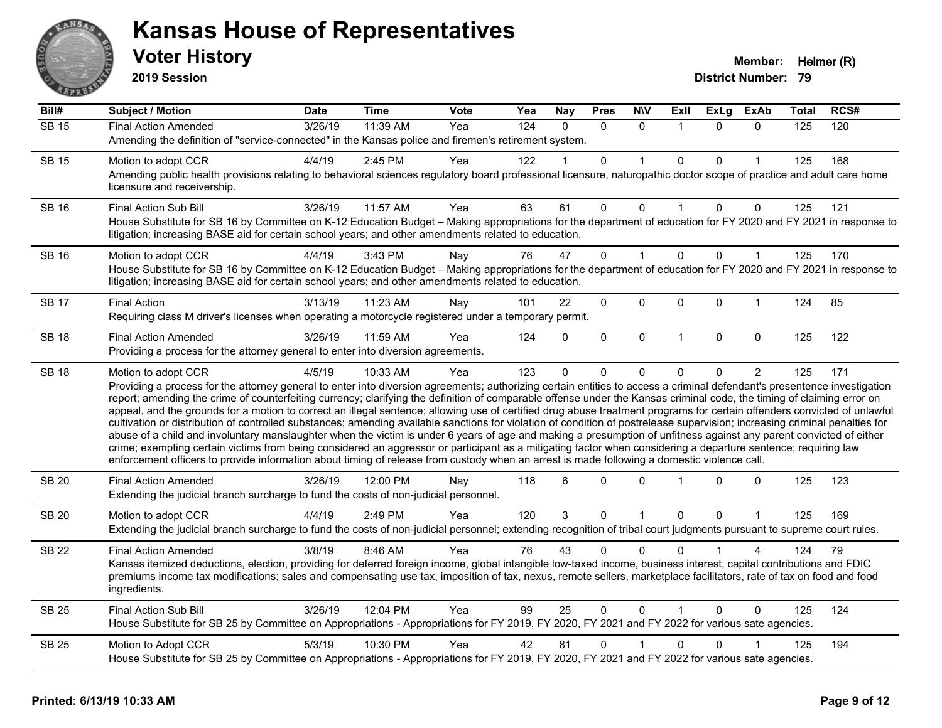

**2019 Session**

| Bill#        | <b>Subject / Motion</b>                                                                                                                                                                                                                                                                                                                                                                                                                                                                                                                                                                                                                                                                                                                                                                                                                                                                                                                                                                                                                                                                                                                                                                                                     | <b>Date</b> | <b>Time</b> | Vote | Yea              | <b>Nay</b>     | <b>Pres</b>  | <b>N\V</b>   | ExII           | <b>ExLg</b>  | <b>ExAb</b>    | <b>Total</b> | RCS# |
|--------------|-----------------------------------------------------------------------------------------------------------------------------------------------------------------------------------------------------------------------------------------------------------------------------------------------------------------------------------------------------------------------------------------------------------------------------------------------------------------------------------------------------------------------------------------------------------------------------------------------------------------------------------------------------------------------------------------------------------------------------------------------------------------------------------------------------------------------------------------------------------------------------------------------------------------------------------------------------------------------------------------------------------------------------------------------------------------------------------------------------------------------------------------------------------------------------------------------------------------------------|-------------|-------------|------|------------------|----------------|--------------|--------------|----------------|--------------|----------------|--------------|------|
| <b>SB 15</b> | <b>Final Action Amended</b>                                                                                                                                                                                                                                                                                                                                                                                                                                                                                                                                                                                                                                                                                                                                                                                                                                                                                                                                                                                                                                                                                                                                                                                                 | 3/26/19     | 11:39 AM    | Yea  | $\overline{124}$ | $\Omega$       | $\Omega$     | $\Omega$     | $\overline{1}$ | $\Omega$     | $\Omega$       | 125          | 120  |
|              | Amending the definition of "service-connected" in the Kansas police and firemen's retirement system.                                                                                                                                                                                                                                                                                                                                                                                                                                                                                                                                                                                                                                                                                                                                                                                                                                                                                                                                                                                                                                                                                                                        |             |             |      |                  |                |              |              |                |              |                |              |      |
| <b>SB 15</b> | Motion to adopt CCR                                                                                                                                                                                                                                                                                                                                                                                                                                                                                                                                                                                                                                                                                                                                                                                                                                                                                                                                                                                                                                                                                                                                                                                                         | 4/4/19      | 2:45 PM     | Yea  | 122              |                | $\mathbf{0}$ | 1            | $\mathbf{0}$   | $\mathbf{0}$ |                | 125          | 168  |
|              | Amending public health provisions relating to behavioral sciences regulatory board professional licensure, naturopathic doctor scope of practice and adult care home<br>licensure and receivership.                                                                                                                                                                                                                                                                                                                                                                                                                                                                                                                                                                                                                                                                                                                                                                                                                                                                                                                                                                                                                         |             |             |      |                  |                |              |              |                |              |                |              |      |
| <b>SB 16</b> | <b>Final Action Sub Bill</b>                                                                                                                                                                                                                                                                                                                                                                                                                                                                                                                                                                                                                                                                                                                                                                                                                                                                                                                                                                                                                                                                                                                                                                                                | 3/26/19     | 11:57 AM    | Yea  | 63               | 61             | 0            | $\Omega$     |                | 0            | 0              | 125          | 121  |
|              | House Substitute for SB 16 by Committee on K-12 Education Budget - Making appropriations for the department of education for FY 2020 and FY 2021 in response to<br>litigation; increasing BASE aid for certain school years; and other amendments related to education.                                                                                                                                                                                                                                                                                                                                                                                                                                                                                                                                                                                                                                                                                                                                                                                                                                                                                                                                                     |             |             |      |                  |                |              |              |                |              |                |              |      |
| <b>SB 16</b> | Motion to adopt CCR                                                                                                                                                                                                                                                                                                                                                                                                                                                                                                                                                                                                                                                                                                                                                                                                                                                                                                                                                                                                                                                                                                                                                                                                         | 4/4/19      | 3:43 PM     | Nay  | 76               | 47             | $\Omega$     | $\mathbf{1}$ | $\Omega$       | $\Omega$     | $\mathbf{1}$   | 125          | 170  |
|              | House Substitute for SB 16 by Committee on K-12 Education Budget - Making appropriations for the department of education for FY 2020 and FY 2021 in response to<br>litigation; increasing BASE aid for certain school years; and other amendments related to education.                                                                                                                                                                                                                                                                                                                                                                                                                                                                                                                                                                                                                                                                                                                                                                                                                                                                                                                                                     |             |             |      |                  |                |              |              |                |              |                |              |      |
| <b>SB 17</b> | <b>Final Action</b>                                                                                                                                                                                                                                                                                                                                                                                                                                                                                                                                                                                                                                                                                                                                                                                                                                                                                                                                                                                                                                                                                                                                                                                                         | 3/13/19     | 11:23 AM    | Nay  | 101              | 22             | 0            | 0            | $\Omega$       | 0            | $\mathbf{1}$   | 124          | 85   |
|              | Requiring class M driver's licenses when operating a motorcycle registered under a temporary permit.                                                                                                                                                                                                                                                                                                                                                                                                                                                                                                                                                                                                                                                                                                                                                                                                                                                                                                                                                                                                                                                                                                                        |             |             |      |                  |                |              |              |                |              |                |              |      |
| <b>SB 18</b> | <b>Final Action Amended</b>                                                                                                                                                                                                                                                                                                                                                                                                                                                                                                                                                                                                                                                                                                                                                                                                                                                                                                                                                                                                                                                                                                                                                                                                 | 3/26/19     | 11:59 AM    | Yea  | 124              | $\Omega$       | $\mathbf{0}$ | $\mathbf 0$  | $\overline{1}$ | $\mathbf{0}$ | $\mathbf 0$    | 125          | 122  |
|              | Providing a process for the attorney general to enter into diversion agreements.                                                                                                                                                                                                                                                                                                                                                                                                                                                                                                                                                                                                                                                                                                                                                                                                                                                                                                                                                                                                                                                                                                                                            |             |             |      |                  |                |              |              |                |              |                |              |      |
| <b>SB 18</b> | Motion to adopt CCR<br>Providing a process for the attorney general to enter into diversion agreements; authorizing certain entities to access a criminal defendant's presentence investigation<br>report; amending the crime of counterfeiting currency; clarifying the definition of comparable offense under the Kansas criminal code, the timing of claiming error on<br>appeal, and the grounds for a motion to correct an illegal sentence; allowing use of certified drug abuse treatment programs for certain offenders convicted of unlawful<br>cultivation or distribution of controlled substances; amending available sanctions for violation of condition of postrelease supervision; increasing criminal penalties for<br>abuse of a child and involuntary manslaughter when the victim is under 6 years of age and making a presumption of unfitness against any parent convicted of either<br>crime; exempting certain victims from being considered an aggressor or participant as a mitigating factor when considering a departure sentence; requiring law<br>enforcement officers to provide information about timing of release from custody when an arrest is made following a domestic violence call. | 4/5/19      | 10:33 AM    | Yea  | 123              | $\Omega$       | $\Omega$     | 0            | $\Omega$       | 0            | $\overline{2}$ | 125          | 171  |
| <b>SB 20</b> | <b>Final Action Amended</b><br>Extending the judicial branch surcharge to fund the costs of non-judicial personnel.                                                                                                                                                                                                                                                                                                                                                                                                                                                                                                                                                                                                                                                                                                                                                                                                                                                                                                                                                                                                                                                                                                         | 3/26/19     | 12:00 PM    | Nay  | 118              | 6              | 0            | $\Omega$     |                | $\Omega$     | 0              | 125          | 123  |
| <b>SB 20</b> | Motion to adopt CCR                                                                                                                                                                                                                                                                                                                                                                                                                                                                                                                                                                                                                                                                                                                                                                                                                                                                                                                                                                                                                                                                                                                                                                                                         | 4/4/19      | 2:49 PM     | Yea  | 120              | $\overline{3}$ | $\mathbf 0$  | $\mathbf{1}$ | $\mathbf 0$    | 0            | $\mathbf{1}$   | 125          | 169  |
|              | Extending the judicial branch surcharge to fund the costs of non-judicial personnel; extending recognition of tribal court judgments pursuant to supreme court rules.                                                                                                                                                                                                                                                                                                                                                                                                                                                                                                                                                                                                                                                                                                                                                                                                                                                                                                                                                                                                                                                       |             |             |      |                  |                |              |              |                |              |                |              |      |
| <b>SB 22</b> | <b>Final Action Amended</b>                                                                                                                                                                                                                                                                                                                                                                                                                                                                                                                                                                                                                                                                                                                                                                                                                                                                                                                                                                                                                                                                                                                                                                                                 | 3/8/19      | 8:46 AM     | Yea  | 76               | 43             | 0            | $\Omega$     |                |              |                | 124          | 79   |
|              | Kansas itemized deductions, election, providing for deferred foreign income, global intangible low-taxed income, business interest, capital contributions and FDIC<br>premiums income tax modifications; sales and compensating use tax, imposition of tax, nexus, remote sellers, marketplace facilitators, rate of tax on food and food<br>ingredients.                                                                                                                                                                                                                                                                                                                                                                                                                                                                                                                                                                                                                                                                                                                                                                                                                                                                   |             |             |      |                  |                |              |              |                |              |                |              |      |
| <b>SB 25</b> | Final Action Sub Bill                                                                                                                                                                                                                                                                                                                                                                                                                                                                                                                                                                                                                                                                                                                                                                                                                                                                                                                                                                                                                                                                                                                                                                                                       | 3/26/19     | 12:04 PM    | Yea  | 99               | 25             | 0            | 0            |                | $\Omega$     | 0              | 125          | 124  |
|              | House Substitute for SB 25 by Committee on Appropriations - Appropriations for FY 2019, FY 2020, FY 2021 and FY 2022 for various sate agencies.                                                                                                                                                                                                                                                                                                                                                                                                                                                                                                                                                                                                                                                                                                                                                                                                                                                                                                                                                                                                                                                                             |             |             |      |                  |                |              |              |                |              |                |              |      |
| <b>SB 25</b> | Motion to Adopt CCR                                                                                                                                                                                                                                                                                                                                                                                                                                                                                                                                                                                                                                                                                                                                                                                                                                                                                                                                                                                                                                                                                                                                                                                                         | 5/3/19      | 10:30 PM    | Yea  | 42               | 81             | $\mathbf{0}$ |              | $\Omega$       | 0            |                | 125          | 194  |
|              | House Substitute for SB 25 by Committee on Appropriations - Appropriations for FY 2019, FY 2020, FY 2021 and FY 2022 for various sate agencies.                                                                                                                                                                                                                                                                                                                                                                                                                                                                                                                                                                                                                                                                                                                                                                                                                                                                                                                                                                                                                                                                             |             |             |      |                  |                |              |              |                |              |                |              |      |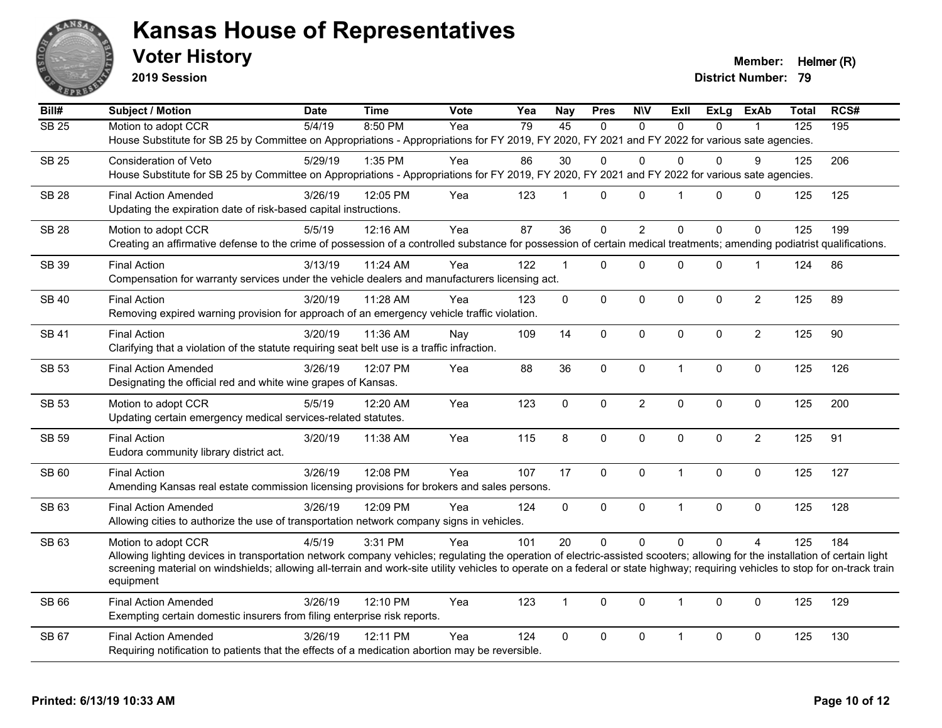

**2019 Session**

**Voter History Member:** Helmer (R)

| Bill#             | <b>Subject / Motion</b>                                                                                                                                                        | <b>Date</b> | <b>Time</b> | <b>Vote</b> | Yea | <b>Nay</b>              | <b>Pres</b> | <b>NIV</b>     | <b>ExII</b>    | <b>ExLg</b>  | <b>ExAb</b>    | <b>Total</b>     | RCS# |
|-------------------|--------------------------------------------------------------------------------------------------------------------------------------------------------------------------------|-------------|-------------|-------------|-----|-------------------------|-------------|----------------|----------------|--------------|----------------|------------------|------|
| $\overline{SB25}$ | Motion to adopt CCR                                                                                                                                                            | 5/4/19      | 8:50 PM     | Yea         | 79  | 45                      | $\Omega$    | $\Omega$       | $\Omega$       | $\Omega$     |                | $\overline{125}$ | 195  |
|                   | House Substitute for SB 25 by Committee on Appropriations - Appropriations for FY 2019, FY 2020, FY 2021 and FY 2022 for various sate agencies.                                |             |             |             |     |                         |             |                |                |              |                |                  |      |
| <b>SB 25</b>      | Consideration of Veto                                                                                                                                                          | 5/29/19     | 1:35 PM     | Yea         | 86  | 30                      | 0           | $\Omega$       | $\Omega$       | $\mathbf{0}$ | 9              | 125              | 206  |
|                   | House Substitute for SB 25 by Committee on Appropriations - Appropriations for FY 2019, FY 2020, FY 2021 and FY 2022 for various sate agencies.                                |             |             |             |     |                         |             |                |                |              |                |                  |      |
| <b>SB 28</b>      | <b>Final Action Amended</b>                                                                                                                                                    | 3/26/19     | 12:05 PM    | Yea         | 123 | $\overline{\mathbf{1}}$ | $\Omega$    | $\Omega$       | $\overline{1}$ | $\Omega$     | 0              | 125              | 125  |
|                   | Updating the expiration date of risk-based capital instructions.                                                                                                               |             |             |             |     |                         |             |                |                |              |                |                  |      |
| <b>SB 28</b>      | Motion to adopt CCR                                                                                                                                                            | 5/5/19      | 12:16 AM    | Yea         | 87  | 36                      | 0           | $\overline{2}$ | $\mathbf{0}$   | $\mathbf{0}$ | $\Omega$       | 125              | 199  |
|                   | Creating an affirmative defense to the crime of possession of a controlled substance for possession of certain medical treatments; amending podiatrist qualifications.         |             |             |             |     |                         |             |                |                |              |                |                  |      |
| SB 39             | <b>Final Action</b>                                                                                                                                                            | 3/13/19     | 11:24 AM    | Yea         | 122 | $\overline{1}$          | 0           | $\mathbf 0$    | $\mathbf 0$    | 0            | $\mathbf 1$    | 124              | 86   |
|                   | Compensation for warranty services under the vehicle dealers and manufacturers licensing act.                                                                                  |             |             |             |     |                         |             |                |                |              |                |                  |      |
| <b>SB 40</b>      | <b>Final Action</b>                                                                                                                                                            | 3/20/19     | 11:28 AM    | Yea         | 123 | $\mathbf 0$             | 0           | $\mathbf 0$    | $\mathbf 0$    | $\mathbf{0}$ | $\overline{2}$ | 125              | 89   |
|                   | Removing expired warning provision for approach of an emergency vehicle traffic violation.                                                                                     |             |             |             |     |                         |             |                |                |              |                |                  |      |
| <b>SB41</b>       | <b>Final Action</b>                                                                                                                                                            | 3/20/19     | 11:36 AM    | Nay         | 109 | 14                      | $\Omega$    | $\mathbf{0}$   | $\mathbf{0}$   | $\Omega$     | $\overline{2}$ | 125              | 90   |
|                   | Clarifying that a violation of the statute requiring seat belt use is a traffic infraction.                                                                                    |             |             |             |     |                         |             |                |                |              |                |                  |      |
| SB 53             | <b>Final Action Amended</b>                                                                                                                                                    | 3/26/19     | 12:07 PM    | Yea         | 88  | 36                      | 0           | $\mathbf 0$    | $\mathbf{1}$   | 0            | $\mathbf 0$    | 125              | 126  |
|                   | Designating the official red and white wine grapes of Kansas.                                                                                                                  |             |             |             |     |                         |             |                |                |              |                |                  |      |
| <b>SB 53</b>      | Motion to adopt CCR                                                                                                                                                            | 5/5/19      | 12:20 AM    | Yea         | 123 | $\mathbf 0$             | 0           | $\overline{c}$ | $\pmb{0}$      | 0            | $\mathbf 0$    | 125              | 200  |
|                   | Updating certain emergency medical services-related statutes.                                                                                                                  |             |             |             |     |                         |             |                |                |              |                |                  |      |
| <b>SB 59</b>      | <b>Final Action</b>                                                                                                                                                            | 3/20/19     | 11:38 AM    | Yea         | 115 | 8                       | 0           | $\mathbf{0}$   | $\mathbf{0}$   | $\mathbf{0}$ | $\overline{2}$ | 125              | 91   |
|                   | Eudora community library district act.                                                                                                                                         |             |             |             |     |                         |             |                |                |              |                |                  |      |
| SB 60             | <b>Final Action</b>                                                                                                                                                            | 3/26/19     | 12:08 PM    | Yea         | 107 | 17                      | 0           | $\mathbf 0$    | $\mathbf{1}$   | $\Omega$     | $\mathbf 0$    | 125              | 127  |
|                   | Amending Kansas real estate commission licensing provisions for brokers and sales persons.                                                                                     |             |             |             |     |                         |             |                |                |              |                |                  |      |
| SB 63             | <b>Final Action Amended</b>                                                                                                                                                    | 3/26/19     | 12:09 PM    | Yea         | 124 | $\mathbf 0$             | 0           | $\mathbf 0$    | $\mathbf{1}$   | 0            | 0              | 125              | 128  |
|                   | Allowing cities to authorize the use of transportation network company signs in vehicles.                                                                                      |             |             |             |     |                         |             |                |                |              |                |                  |      |
| SB 63             | Motion to adopt CCR                                                                                                                                                            | 4/5/19      | 3:31 PM     | Yea         | 101 | 20                      | $\Omega$    | $\Omega$       | $\Omega$       | $\Omega$     | $\overline{A}$ | 125              | 184  |
|                   | Allowing lighting devices in transportation network company vehicles; regulating the operation of electric-assisted scooters; allowing for the installation of certain light   |             |             |             |     |                         |             |                |                |              |                |                  |      |
|                   | screening material on windshields; allowing all-terrain and work-site utility vehicles to operate on a federal or state highway; requiring vehicles to stop for on-track train |             |             |             |     |                         |             |                |                |              |                |                  |      |
|                   | equipment                                                                                                                                                                      |             |             |             |     |                         |             |                |                |              |                |                  |      |
| SB 66             | <b>Final Action Amended</b>                                                                                                                                                    | 3/26/19     | 12:10 PM    | Yea         | 123 | $\overline{1}$          | 0           | $\Omega$       | $\mathbf{1}$   | $\Omega$     | $\mathbf{0}$   | 125              | 129  |
|                   | Exempting certain domestic insurers from filing enterprise risk reports.                                                                                                       |             |             |             |     |                         |             |                |                |              |                |                  |      |
| SB 67             | <b>Final Action Amended</b>                                                                                                                                                    | 3/26/19     | 12:11 PM    | Yea         | 124 | $\mathbf 0$             | 0           | $\mathbf 0$    | $\mathbf{1}$   | 0            | 0              | 125              | 130  |
|                   | Requiring notification to patients that the effects of a medication abortion may be reversible.                                                                                |             |             |             |     |                         |             |                |                |              |                |                  |      |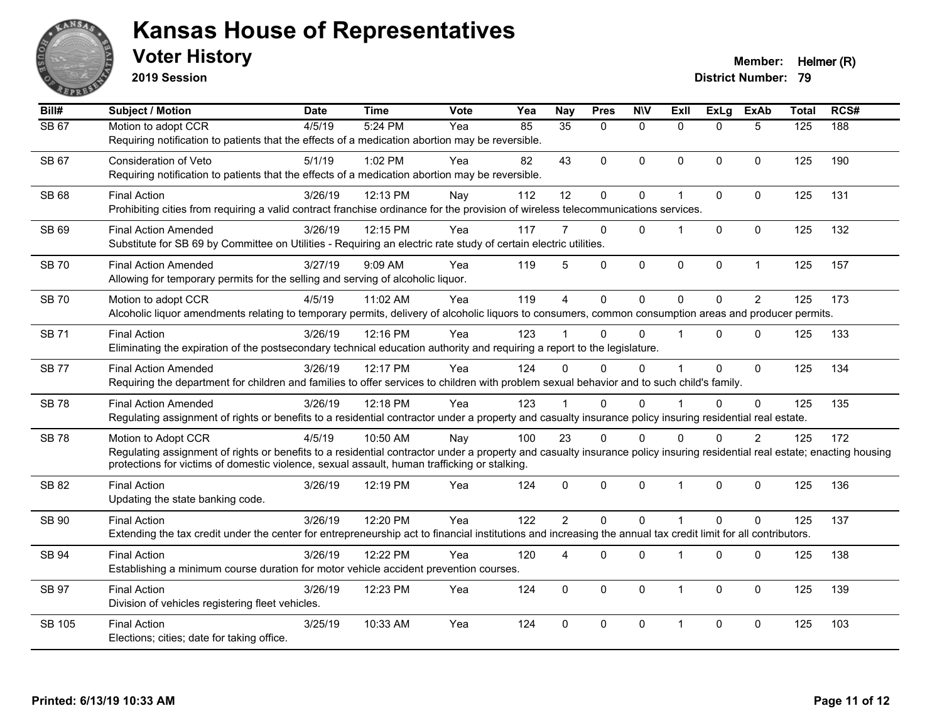

**2019 Session**

| Bill#        | <b>Subject / Motion</b>                                                                                                                                                      | <b>Date</b> | <b>Time</b> | Vote | Yea | <b>Nay</b>     | <b>Pres</b> | <b>NIV</b>   | <b>Exll</b>    | ExLg         | <b>ExAb</b>    | <b>Total</b> | RCS# |
|--------------|------------------------------------------------------------------------------------------------------------------------------------------------------------------------------|-------------|-------------|------|-----|----------------|-------------|--------------|----------------|--------------|----------------|--------------|------|
| <b>SB 67</b> | Motion to adopt CCR                                                                                                                                                          | 4/5/19      | 5:24 PM     | Yea  | 85  | 35             | $\Omega$    | $\mathbf{0}$ | $\Omega$       | $\Omega$     | 5              | 125          | 188  |
|              | Requiring notification to patients that the effects of a medication abortion may be reversible.                                                                              |             |             |      |     |                |             |              |                |              |                |              |      |
| SB 67        | Consideration of Veto                                                                                                                                                        | 5/1/19      | 1:02 PM     | Yea  | 82  | 43             | $\Omega$    | $\mathbf{0}$ | $\Omega$       | $\Omega$     | $\mathbf{0}$   | 125          | 190  |
|              | Requiring notification to patients that the effects of a medication abortion may be reversible.                                                                              |             |             |      |     |                |             |              |                |              |                |              |      |
| SB 68        | <b>Final Action</b>                                                                                                                                                          | 3/26/19     | 12:13 PM    | Nay  | 112 | 12             | 0           | $\pmb{0}$    |                | 0            | $\mathbf 0$    | 125          | 131  |
|              | Prohibiting cities from requiring a valid contract franchise ordinance for the provision of wireless telecommunications services.                                            |             |             |      |     |                |             |              |                |              |                |              |      |
| SB 69        | <b>Final Action Amended</b>                                                                                                                                                  | 3/26/19     | 12:15 PM    | Yea  | 117 |                | $\Omega$    | $\mathbf{0}$ |                | $\Omega$     | $\mathbf 0$    | 125          | 132  |
|              | Substitute for SB 69 by Committee on Utilities - Requiring an electric rate study of certain electric utilities.                                                             |             |             |      |     |                |             |              |                |              |                |              |      |
| <b>SB70</b>  | <b>Final Action Amended</b>                                                                                                                                                  | 3/27/19     | 9:09 AM     | Yea  | 119 | 5              | 0           | $\pmb{0}$    | 0              | 0            | $\mathbf{1}$   | 125          | 157  |
|              | Allowing for temporary permits for the selling and serving of alcoholic liquor.                                                                                              |             |             |      |     |                |             |              |                |              |                |              |      |
|              |                                                                                                                                                                              |             |             |      |     |                |             |              |                |              |                |              |      |
| <b>SB 70</b> | Motion to adopt CCR<br>Alcoholic liquor amendments relating to temporary permits, delivery of alcoholic liquors to consumers, common consumption areas and producer permits. | 4/5/19      | 11:02 AM    | Yea  | 119 | $\overline{4}$ | 0           | $\mathbf 0$  | $\Omega$       | $\Omega$     | 2              | 125          | 173  |
|              |                                                                                                                                                                              |             |             |      |     |                |             |              |                |              |                |              |      |
| <b>SB71</b>  | <b>Final Action</b>                                                                                                                                                          | 3/26/19     | 12:16 PM    | Yea  | 123 |                | $\Omega$    | $\Omega$     |                | $\Omega$     | $\mathbf{0}$   | 125          | 133  |
|              | Eliminating the expiration of the postsecondary technical education authority and requiring a report to the legislature.                                                     |             |             |      |     |                |             |              |                |              |                |              |      |
| <b>SB77</b>  | <b>Final Action Amended</b>                                                                                                                                                  | 3/26/19     | 12:17 PM    | Yea  | 124 | $\Omega$       | $\Omega$    | $\Omega$     |                | $\Omega$     | $\mathbf{0}$   | 125          | 134  |
|              | Requiring the department for children and families to offer services to children with problem sexual behavior and to such child's family.                                    |             |             |      |     |                |             |              |                |              |                |              |      |
| <b>SB78</b>  | <b>Final Action Amended</b>                                                                                                                                                  | 3/26/19     | 12:18 PM    | Yea  | 123 |                | $\Omega$    | $\Omega$     |                | $\Omega$     | $\mathbf{0}$   | 125          | 135  |
|              | Regulating assignment of rights or benefits to a residential contractor under a property and casualty insurance policy insuring residential real estate.                     |             |             |      |     |                |             |              |                |              |                |              |      |
| <b>SB78</b>  | Motion to Adopt CCR                                                                                                                                                          | 4/5/19      | 10:50 AM    | Nay  | 100 | 23             | $\Omega$    | $\Omega$     | $\Omega$       | $\Omega$     | $\overline{2}$ | 125          | 172  |
|              | Regulating assignment of rights or benefits to a residential contractor under a property and casualty insurance policy insuring residential real estate; enacting housing    |             |             |      |     |                |             |              |                |              |                |              |      |
|              | protections for victims of domestic violence, sexual assault, human trafficking or stalking.                                                                                 |             |             |      |     |                |             |              |                |              |                |              |      |
| SB 82        | <b>Final Action</b>                                                                                                                                                          | 3/26/19     | 12:19 PM    | Yea  | 124 | $\mathbf 0$    | 0           | $\mathbf 0$  | $\overline{1}$ | $\Omega$     | $\mathbf 0$    | 125          | 136  |
|              | Updating the state banking code.                                                                                                                                             |             |             |      |     |                |             |              |                |              |                |              |      |
| SB 90        | <b>Final Action</b>                                                                                                                                                          | 3/26/19     | 12:20 PM    | Yea  | 122 | $\overline{2}$ | $\Omega$    | $\Omega$     |                | $\Omega$     | $\Omega$       | 125          | 137  |
|              | Extending the tax credit under the center for entrepreneurship act to financial institutions and increasing the annual tax credit limit for all contributors.                |             |             |      |     |                |             |              |                |              |                |              |      |
| SB 94        | <b>Final Action</b>                                                                                                                                                          | 3/26/19     | 12:22 PM    | Yea  | 120 | 4              | $\Omega$    | 0            |                | $\Omega$     | $\mathbf 0$    | 125          | 138  |
|              | Establishing a minimum course duration for motor vehicle accident prevention courses.                                                                                        |             |             |      |     |                |             |              |                |              |                |              |      |
| <b>SB 97</b> | <b>Final Action</b>                                                                                                                                                          | 3/26/19     | 12:23 PM    | Yea  | 124 | $\Omega$       | $\Omega$    | $\mathbf{0}$ | 1              | $\mathbf{0}$ | $\mathbf{0}$   | 125          | 139  |
|              | Division of vehicles registering fleet vehicles.                                                                                                                             |             |             |      |     |                |             |              |                |              |                |              |      |
|              |                                                                                                                                                                              |             |             |      |     |                |             |              |                |              |                |              |      |
| SB 105       | <b>Final Action</b>                                                                                                                                                          | 3/25/19     | 10:33 AM    | Yea  | 124 | $\Omega$       | $\Omega$    | $\mathbf 0$  | 1              | $\Omega$     | $\mathbf{0}$   | 125          | 103  |
|              | Elections; cities; date for taking office.                                                                                                                                   |             |             |      |     |                |             |              |                |              |                |              |      |